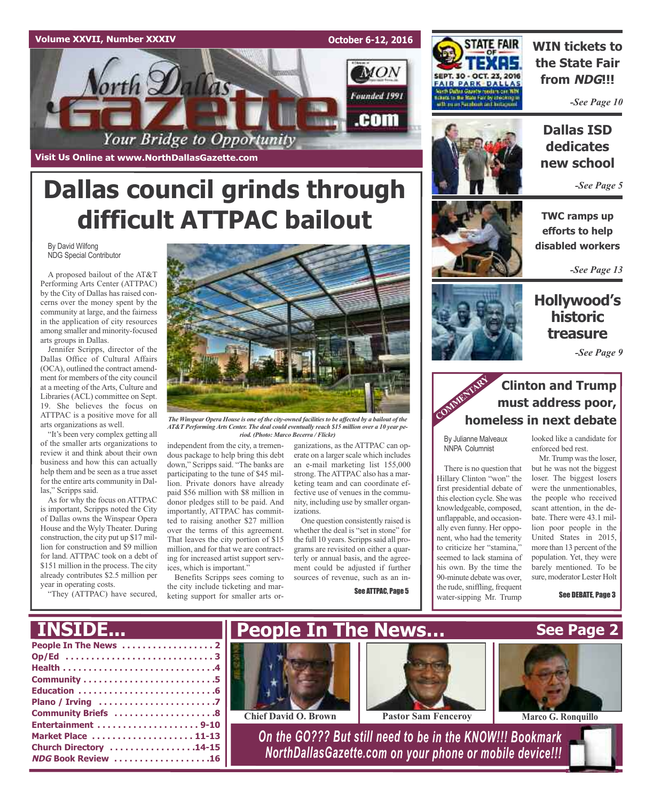#### **Volume XXVII, Number XXXIV**

**October 6-12, 2016**





**WIN tickets to the State Fair from NDG!!!**

*-See Page 10*



**Dallas ISD dedicates new school**

*-See Page 5*

**TWC ramps up efforts to help disabled workers**

*-See Page 13*

### **Hollywood's historic treasure**

*-See Page 9*

#### **Clinton and Trump must address poor, homeless in next debate** COMMENTARY

By Julianne Malveaux NNPA Columnist

There is no question that Hillary Clinton "won" the first presidential debate of this election cycle. She was knowledgeable, composed, unflappable, and occasionally even funny. Her opponent, who had the temerity to criticize her "stamina," seemed to lack stamina of his own. By the time the 90-minute debate was over, the rude, sniffling, frequent water-sipping Mr. Trump

looked like a candidate for enforced bed rest.

Mr. Trump was the loser, but he was not the biggest loser. The biggest losers were the unmentionables, the people who received scant attention, in the debate. There were 43.1 million poor people in the United States in 2015, more than 13 percent of the population. Yet, they were barely mentioned. To be sure, moderator Lester Holt

See DEBATE, Page 3

**Dallas council grinds through difficult ATTPAC bailout**

**Visit Us Online at www.NorthDallasGazette.com**

By David Wilfong NDG Special Contributor

A proposed bailout of the AT&T Performing Arts Center (ATTPAC) by the City of Dallas has raised concerns over the money spent by the community at large, and the fairness in the application of city resources among smaller and minority-focused arts groups in Dallas.

Jennifer Scripps, director of the Dallas Office of Cultural Affairs (OCA), outlined the contract amendment for members of the city council at a meeting of the Arts, Culture and Libraries (ACL) committee on Sept. 19. She believes the focus on ATTPAC is a positive move for all arts organizations as well.

"It's been very complex getting all of the smaller arts organizations to review it and think about their own business and how this can actually help them and be seen as a true asset for the entire arts community in Dallas," Scripps said.

As for why the focus on ATTPAC is important, Scripps noted the City of Dallas owns the Winspear Opera House and the Wyly Theater. During construction, the city put up \$17 million for construction and \$9 million for land. ATTPAC took on a debt of \$151 million in the process. The city already contributes \$2.5 million per year in operating costs.

"They (ATTPAC) have secured,

**INSIDE...**

**People In The News . . . . . . . . . . . . . . . . . . 2 Op/Ed . . . . . . . . . . . . . . . . . . . . . . . . . . . . . 3 Health . . . . . . . . . . . . . . . . . . . . . . . . . . . . . .4 Community . . . . . . . . . . . . . . . . . . . . . . . . . .5 Education . . . . . . . . . . . . . . . . . . . . . . . . . . .6 Plano / Irving . . . . . . . . . . . . . . . . . . . . . . .7 Community Briefs . . . . . . . . . . . . . . . . . . . .8 Entertainment . . . . . . . . . . . . . . . . . . . . 9-10 Market Place . . . . . . . . . . . . . . . . . . . . 11-13 Church Directory . . . . . . . . . . . . . . . . .14-15 NDG Book Review . . . . . . . . . . . . . . . . . . .16**



*The Winspear Opera House is one of the city-owned facilities to be affected by a bailout of the AT&T PerformingArts Center. The deal could eventually reach \$15 million over a 10 year period. (Photo: Marco Becerra / Flickr)*

independent from the city, a tremendous package to help bring this debt down," Scripps said. "The banks are participating to the tune of \$45 million. Private donors have already paid \$56 million with \$8 million in donor pledges still to be paid. And importantly, ATTPAC has committed to raising another \$27 million over the terms of this agreement. That leaves the city portion of \$15 million, and for that we are contracting for increased artist support services, which is important."

Benefits Scripps sees coming to the city include ticketing and marketing support for smaller arts organizations, as the ATTPAC can operate on a larger scale which includes an e-mail marketing list 155,000 strong. TheATTPAC also has a marketing team and can coordinate effective use of venues in the community, including use by smaller organizations.

One question consistently raised is whether the deal is "set in stone" for the full 10 years. Scripps said all programs are revisited on either a quarterly or annual basis, and the agreement could be adjusted if further sources of revenue, such as an in-

See ATTPAC, Page 5





*On the GO??? But still need to be in the KNOW!!! Bookmark NorthDallasGazette.com on your phone or mobile device!!!*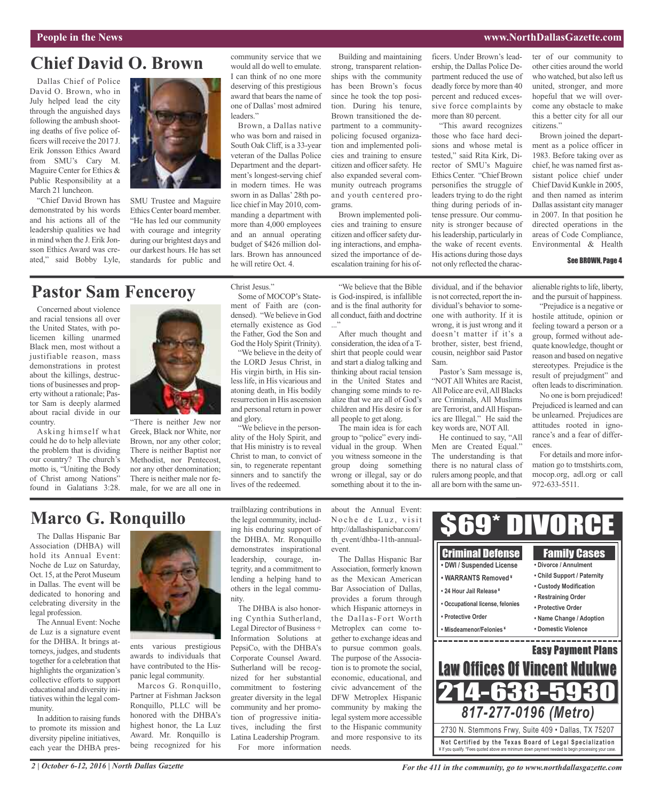#### **People in the News www.NorthDallasGazette.com**

## **Chief David O. Brown**

Dallas Chief of Police David O. Brown, who in July helped lead the city through the anguished days following the ambush shooting deaths of five police officers will receive the 2017 J. Erik Jonsson Ethics Award from SMU's Cary M. Maguire Center for Ethics & Public Responsibility at a March 21 luncheon.

"Chief David Brown has demonstrated by his words and his actions all of the leadership qualities we had in mind when the J. Erik Jonsson Ethics Award was created," said Bobby Lyle,



SMU Trustee and Maguire Ethics Center board member. "He has led our community with courage and integrity during our brightest days and our darkest hours. He has set standards for public and

#### community service that we would all do well to emulate. I can think of no one more deserving of this prestigious award that bears the name of one of Dallas' most admired leaders."

Brown, a Dallas native who was born and raised in South Oak Cliff, is a 33-year veteran of the Dallas Police Department and the department's longest-serving chief in modern times. He was sworn in as Dallas' 28th police chief in May 2010, commanding a department with more than 4,000 employees and an annual operating budget of \$426 million dollars. Brown has announced he will retire Oct. 4.

Building and maintaining strong, transparent relationships with the community has been Brown's focus since he took the top position. During his tenure, Brown transitioned the department to a communitypolicing focused organization and implemented policies and training to ensure citizen and officer safety. He also expanded several community outreach programs and youth centered programs.

Brown implemented policies and training to ensure citizen and officer safety during interactions, and emphasized the importance of deescalation training for his officers. Under Brown's leadership, the Dallas Police Department reduced the use of deadly force by more than 40 percent and reduced excessive force complaints by more than 80 percent.

"This award recognizes those who face hard decisions and whose metal is tested," said Rita Kirk, Director of SMU's Maguire Ethics Center. "Chief Brown personifies the struggle of leaders trying to do the right thing during periods of intense pressure. Our community is stronger because of hisleadership, particularly in the wake of recent events. His actions during those days not only reflected the character of our community to other cities around the world who watched, but also left us united, stronger, and more hopeful that we will overcome any obstacle to make this a better city for all our citizens."

Brown joined the department as a police officer in 1983. Before taking over as chief, he was named first assistant police chief under Chief David Kunkle in 2005, and then named as interim Dallas assistant city manager in 2007. In that position he directed operations in the areas of Code Compliance, Environmental & Health

#### See BROWN, Page 4

alienable rights to life, liberty, and the pursuit of happiness.

"Prejudice is a negative or hostile attitude, opinion or feeling toward a person or a group, formed without adequate knowledge, thought or reason and based on negative stereotypes. Prejudice is the result of prejudgment" and often leads to discrimination.

No one is born prejudiced! Prejudiced is learned and can be unlearned. Prejudices are attitudes rooted in ignorance's and a fear of differences.

For details and more information go to tmstshirts.com, mocop.org, adl.org or call 972-633-5511.

## **Pastor Sam Fenceroy**

Concerned about violence and racial tensions all over the United States, with policemen killing unarmed Black men, most without a justifiable reason, mass demonstrations in protest about the killings, destructions of businesses and property without a rationale; Pastor Sam is deeply alarmed about racial divide in our country.

Asking himself what could he do to help alleviate the problem that is dividing our country? The church's motto is, "Uniting the Body of Christ among Nations" found in Galatians 3:28.



"There is neither Jew nor Greek, Black nor White, nor Brown, nor any other color; There is neither Baptist nor Methodist, nor Pentecost, nor any other denomination; There is neither male nor female, for we are all one in

Some of MOCOP's Statement of Faith are (condensed). "We believe in God eternally existence as God the Father, God the Son and God the Holy Spirit (Trinity).

Christ Jesus."

"We believe in the deity of the LORD Jesus Christ, in His virgin birth, in His sinlesslife, in His vicarious and atoning death, in His bodily resurrection in His ascension and personal return in power and glory.

"We believe in the personality of the Holy Spirit, and that His ministry is to reveal Christ to man, to convict of sin, to regenerate repentant sinners and to sanctify the lives of the redeemed.

"We believe that the Bible is God-inspired, is infallible and is the final authority for all conduct, faith and doctrine ..." After much thought and

consideration, the idea of aTshirt that people could wear and start a dialog talking and thinking about racial tension in the United States and changing some minds to realize that we are all of God's children and His desire is for all people to get along.

The main idea is for each group to "police" every individual in the group. When you witness someone in the group doing something wrong or illegal, say or do something about it to the individual, and if the behavior is not corrected, report the individual's behavior to someone with authority. If it is wrong, it is just wrong and it doesn't matter if it's a brother, sister, best friend, cousin, neighbor said Pastor Sam.

Pastor's Sam message is, "NOT All Whites are Racist, All Police are evil, All Blacks are Criminals, All Muslims are Terrorist, andAll Hispanics are Illegal." He said the key words are, NOTAll.

He continued to say, "All Men are Created Equal." The understanding is that there is no natural class of rulers among people, and that all are born with the same un-

## **Marco G. Ronquillo**

The Dallas Hispanic Bar Association (DHBA) will hold its Annual Event: Noche de Luz on Saturday, Oct. 15, at the Perot Museum in Dallas. The event will be dedicated to honoring and celebrating diversity in the legal profession.

The Annual Event: Noche de Luz is a signature event for the DHBA. It brings attorneys, judges, and students together for a celebration that highlights the organization's collective efforts to support educational and diversity initiatives within the legal community.

In addition to raising funds to promote its mission and diversity pipeline initiatives, each year the DHBA pres-



ents various prestigious awards to individuals that have contributed to the Hispanic legal community.

Marcos G. Ronquillo, Partner at Fishman Jackson Ronquillo, PLLC will be honored with the DHBA's highest honor, the La Luz Award. Mr. Ronquillo is being recognized for his

trailblazing contributions in the legal community, including his enduring support of the DHBA. Mr. Ronquillo demonstrates inspirational leadership, courage, integrity, and a commitment to lending a helping hand to others in the legal community.

The DHBA is also honoring Cynthia Sutherland, Legal Director of Business + Information Solutions at PepsiCo, with the DHBA's Corporate Counsel Award. Sutherland will be recognized for her substantial commitment to fostering greater diversity in the legal community and her promotion of progressive initiatives, including the first Latina Leadership Program. For more information

about the Annual Event: Noche de Luz, visit http://dallashispanicbar.com/ th\_event/dhba-11th-annualevent.

The Dallas Hispanic Bar Association, formerly known as the Mexican American Bar Association of Dallas, provides a forum through which Hispanic attorneys in the Dallas-Fort Worth Metroplex can come together to exchange ideas and to pursue common goals. The purpose of the Association is to promote the social, economic, educational, and civic advancement of the DFW Metroplex Hispanic community by making the legal system more accessible to the Hispanic community and more responsive to its needs.



*For the 411 in the community, go to www.northdallasgazette.com*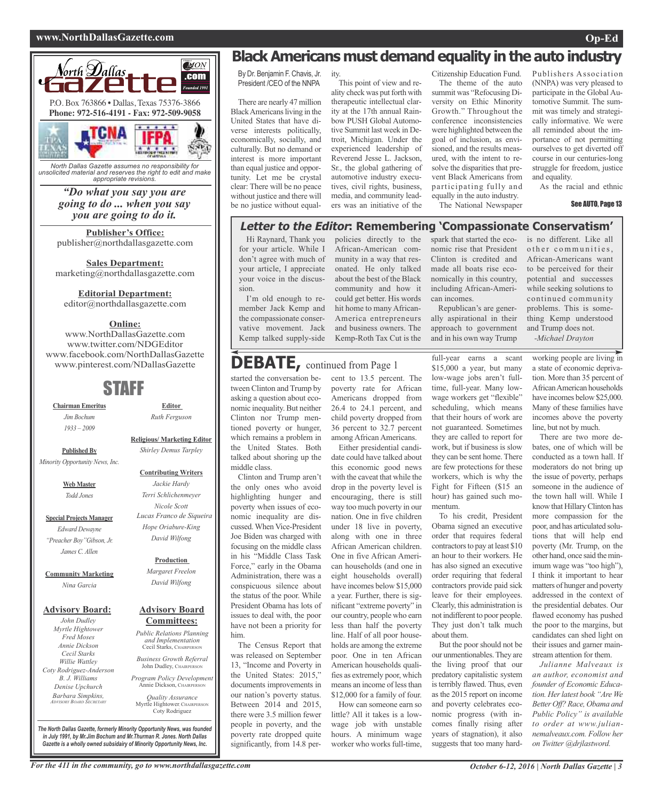#### **www.NorthDallasGazette.com Op-Ed**



*North Dallas Gazette assumes no responsibility for unsolicited material and reserves the right to edit and make appropriate revisions.*

#### *"Do what you say you are going to do ... when you say you are going to do it.*

**Publisher's Office:** publisher@northdallasgazette.com

**Sales Department:** marketing@northdallasgazette.com

#### **Editorial Department:**

editor@northdallasgazette.com

#### **Online:**

www.NorthDallasGazette.com www.twitter.com/NDGEditor www.facebook.com/NorthDallasGazette www.pinterest.com/NDallasGazette

## STAFF

**Chairman Emeritus** *Jim Bochum 1933 – 2009*

**Published By**

*Minority Opportunity News, Inc.*

**Web Master** *Todd Jones*

**Special Projects Manager** *Edward Dewayne "Preacher Boy"Gibson, Jr. James C. Allen*

**Community Marketing** *Nina Garcia*

#### **Advisory Board:**

*John Dudley Myrtle Hightower Fred Moses Annie Dickson Cecil Starks Willie Wattley Coty Rodriguez-Anderson B. J. Williams Denise Upchurch Barbara Simpkins, ADVISORY BOARD SECRETARY*

**Religious/ Marketing Editor** *Shirley Demus Tarpley*

**Editor** *Ruth Ferguson*

#### **Contributing Writers**

*Jackie Hardy Terri Schlichenmeyer Nicole Scott Lucas Franco de Siqueira Hope Oriabure-King David Wilfong*

#### **Production**

*Margaret Freelon David Wilfong*

#### **Advisory Board Committees:**

*Public Relations Planning and Implementation* Cecil Starks, CHAIRPERSON

*Business Growth Referral* John Dudley, CHAIRPERSO

*Program Policy Development* Annie Dickson, CHAIRPER

*Quality Assurance* Myrtle Hightower, CHAIRPERSON Coty Rodriguez

**BlackAmericans must demand equality in the auto industry**

By Dr. Benjamin F. Chavis, Jr. President /CEO of the NNPA

There are nearly 47 million Black Americans living in the United States that have diverse interests politically, economically, socially, and culturally. But no demand or interest is more important than equal justice and opportunity. Let me be crystal clear: There will be no peace without justice and there will be no justice without equal-

This point of view and reality check was put forth with therapeutic intellectual clarity at the 17th annual Rainbow PUSH Global Automotive Summit last week in Detroit, Michigan. Under the experienced leadership of Reverend Jesse L. Jackson, Sr., the global gathering of automotive industry executives, civil rights, business, media, and community leaders was an initiative of the

ity.

Citizenship Education Fund. The theme of the auto summit was "Refocusing Diversity on Ethic Minority Growth." Throughout the conference inconsistencies were highlighted between the goal of inclusion, as envisioned, and the results measured, with the intent to resolve the disparities that prevent Black Americans from participating fully and equally in the auto industry. The National Newspaper

Publishers Association (NNPA) was very pleased to participate in the Global Automotive Summit. The summit was timely and strategically informative. We were all reminded about the importance of not permitting ourselves to get diverted off course in our centuries-long struggle for freedom, justice and equality.

As the racial and ethnic

#### See AUTO, Page 13

#### **Letter to the Editor: Remembering 'Compassionate Conservatism'**

Hi Raynard, Thank you for your article. While I don't agree with much of your article, I appreciate your voice in the discussion.

I'm old enough to remember Jack Kemp and the compassionate conservative movement. Jack Kemp talked supply-side

policies directly to the African-American community in a way that resonated. He only talked about the best of the Black community and how it could get better. His words hit home to many African-America entrepreneurs and business owners. The Kemp-Roth Tax Cut is the

**DEBATE,** continued from Page <sup>1</sup>

started the conversation be-cent to 13.5 percent. The tween Clinton and Trump by asking a question about economic inequality. But neither Clinton nor Trump mentioned poverty or hunger, which remains a problem in the United States. Both talked about shoring up the middle class.

Clinton and Trump aren't the only ones who avoid highlighting hunger and poverty when issues of economic inequality are discussed.When Vice-President Joe Biden was charged with focusing on the middle class in his "Middle Class Task Force," early in the Obama Administration, there was a conspicuous silence about the status of the poor. While President Obama has lots of issues to deal with, the poor have not been a priority for him.

The Census Report that was released on September 13, "Income and Poverty in the United States: 2015," documents improvements in our nation's poverty status. Between 2014 and 2015, there were 3.5 million fewer people in poverty, and the poverty rate dropped quite significantly, from 14.8 perpoverty rate for African Americans dropped from 26.4 to 24.1 percent, and child poverty dropped from 36 percent to 32.7 percent among African Americans.

Either presidential candidate could have talked about this economic good news with the caveat that while the drop in the poverty level is encouraging, there is still way too much poverty in our nation. One in five children under 18 live in poverty, along with one in three African American children. One in five African American households (and one in eight households overall) have incomes below \$15,000 a year. Further, there is significant "extreme poverty" in our country, people who earn less than half the poverty line. Half of all poor households are among the extreme poor. One in ten African American households qualifies as extremely poor, which means an income of less than

\$12,000 for a family of four. How can someone earn so little? All it takes is a lowwage job with unstable hours. A minimum wage worker who works full-time,

Clinton is credited and made all boats rise economically in this country, including African-American incomes. Republican's are generally aspirational in their approach to government

and in his own way Trump

spark that started the economic rise that President is no different. Like all other communities, African-Americans want to be perceived for their potential and successes while seeking solutions to continued community problems. This is something Kemp understood and Trump does not. *-Michael Drayton*

full-year earns a scant \$15,000 a year, but many low-wage jobs aren't fulltime, full-year. Many lowwage workers get "flexible" scheduling, which means that their hours of work are not guaranteed. Sometimes they are called to report for work, but if business is slow they can be sent home. There are few protections for these workers, which is why the Fight for Fifteen (\$15 an hour) has gained such momentum.

To his credit, President Obama signed an executive order that requires federal contractors to pay at least \$10 an hour to their workers. He has also signed an executive order requiring that federal contractors provide paid sick leave for their employees. Clearly, this administration is not indifferent to poor people. They just don't talk much about them.

But the poor should not be our unmentionables.They are the living proof that our predatory capitalistic system is terribly flawed. Thus, even as the 2015 report on income and poverty celebrates economic progress (with incomes finally rising after years of stagnation), it also suggests that too many hard-

working people are living in a state of economic deprivation. More than 35 percent of AfricanAmerican households have incomes below \$25,000. Many of these families have incomes above the poverty line, but not by much.

There are two more debates, one of which will be conducted as a town hall. If moderators do not bring up the issue of poverty, perhaps someone in the audience of the town hall will. While I know that HillaryClinton has more compassion for the poor, and has articulated solutions that will help end poverty (Mr. Trump, on the other hand, once said the minimum wage was "too high"), I think it important to hear matters of hunger and poverty addressed in the context of the presidential debates. Our flawed economy has pushed the poor to the margins, but candidates can shed light on their issues and garner mainstream attention for them.

*Julianne Malveaux is an author, economist and founder of Economic Education. Herlatest book "Are We Better Off? Race, Obama and Public Policy" is available to order at www.juliannemalveaux.com. Follow her on Twitter @drjlastword.*

*The North Dallas Gazette, formerly Minority Opportunity News, was founded in July 1991, by Mr.Jim Bochum and Mr.Thurman R. Jones. North Dallas Gazette is a wholly owned subsidairy of Minority Opportunity News, Inc.*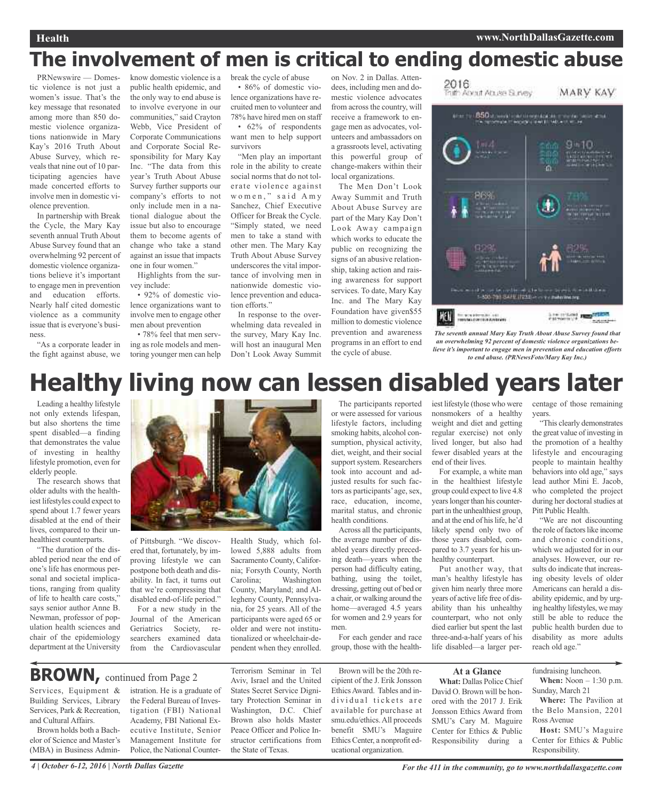## **The involvement of men is critical to ending domestic abuse**

PRNewswire — Domestic violence is not just a women's issue. That's the key message that resonated among more than 850 domestic violence organizations nationwide in Mary Kay's 2016 Truth About Abuse Survey, which reveals that nine out of 10 participating agencies have made concerted efforts to involve men in domestic violence prevention.

In partnership with Break the Cycle, the Mary Kay seventh annual Truth About Abuse Survey found that an overwhelming 92 percent of domestic violence organizations believe it's important to engage men in prevention and education efforts. Nearly half cited domestic violence as a community issue that is everyone's business.

"As a corporate leader in the fight against abuse, we

know domestic violence is a public health epidemic, and the only way to end abuse is to involve everyone in our communities," said Crayton Webb, Vice President of Corporate Communications and Corporate Social Responsibility for Mary Kay Inc. "The data from this year's Truth About Abuse Survey further supports our company's efforts to not only include men in a national dialogue about the issue but also to encourage them to become agents of change who take a stand against an issue that impacts

one in four women." Highlights from the survey include:

• 92% of domestic violence organizations want to involve men to engage other men about prevention

• 78% feel that men serving as role models and mentoring younger men can help break the cycle of abuse • 86% of domestic violence organizations have re-

cruited men to volunteer and 78% have hired men on staff • 62% of respondents want men to help support survivors

"Men play an important role in the ability to create social norms that do not tolerate violence against women," said Amy Sanchez, Chief Executive Officer for Break the Cycle. "Simply stated, we need men to take a stand with other men. The Mary Kay Truth About Abuse Survey underscores the vital importance of involving men in nationwide domestic violence prevention and education efforts."

In response to the overwhelming data revealed in the survey, Mary Kay Inc. will host an inaugural Men Don't Look Away Summit

on Nov. 2 in Dallas. Attendees, including men and domestic violence advocates from across the country, will receive a framework to engage men as advocates, volunteers and ambassadors on a grassroots level, activating this powerful group of change-makers within their local organizations.

The Men Don't Look Away Summit and Truth About Abuse Survey are part of the Mary Kay Don't Look Away campaign which works to educate the public on recognizing the signs of an abusive relationship, taking action and raising awareness for support services. To date, Mary Kay Inc. and The Mary Kay Foundation have given\$55 million to domestic violence prevention and awareness programs in an effort to end the cycle of abuse.

2016 Fullh Abruit Abuse Survey

MARV KAV



*an overwhelming 92 percent of domestic violence organizations believe it's important to engage men in prevention and education efforts to end abuse. (PRNewsFoto/Mary Kay Inc.)*

## **Healthy living now can lessen disabled years later**

Leading a healthy lifestyle not only extends lifespan, but also shortens the time spent disabled—a finding that demonstrates the value of investing in healthy lifestyle promotion, even for elderly people.

The research shows that older adults with the healthiest lifestyles could expect to spend about 1.7 fewer years disabled at the end of their lives, compared to their unhealthiest counterparts.

"The duration of the disabled period near the end of one's life has enormous personal and societal implications, ranging from quality of life to health care costs," says senior author Anne B. Newman, professor of population health sciences and chair of the epidemiology department at the University



of Pittsburgh. "We discovered that, fortunately, by improving lifestyle we can postpone both death and disability. In fact, it turns out that we're compressing that disabled end-of-life period."

For a new study in the Journal of the American Geriatrics Society, researchers examined data from the Cardiovascular

Health Study, which followed 5,888 adults from Sacramento County, California; Forsyth County, North Carolina; Washington County, Maryland; and Allegheny County, Pennsylvania, for 25 years. All of the participants were aged 65 or older and were not institutionalized or wheelchair-dependent when they enrolled.

**BROWN,** continued from Page <sup>2</sup>

Services, Equipment & Building Services, Library Services, Park & Recreation, and Cultural Affairs.

Brown holds both a Bachelor of Science and Master's (MBA) in Business Administration. He is a graduate of the Federal Bureau of Investigation (FBI) National Academy, FBI National Executive Institute, Senior Management Institute for Police, the National CounterTerrorism Seminar in Tel Aviv, Israel and the United States Secret Service Dignitary Protection Seminar in Washington, D.C. Chief Brown also holds Master Peace Officer and Police Instructor certifications from the State of Texas.

smoking habits, alcohol consumption, physical activity, diet, weight, and their social support system. Researchers took into account and adjusted results for such factors as participants' age, sex, race, education, income, marital status, and chronic health conditions. Across all the participants, the average number of dis-

The participants reported or were assessed for various lifestyle factors, including

abled years directly preceding death—years when the person had difficulty eating, bathing, using the toilet, dressing, getting out of bed or a chair, or walking around the home—averaged 4.5 years for women and 2.9 years for men.

For each gender and race group, those with the health-

Brown will be the 20th recipient of the J. Erik Jonsson EthicsAward. Tables and individual tickets are available for purchase at smu.edu/ethics.All proceeds benefit SMU's Maguire Ethics Center, a nonprofit educational organization.

iest lifestyle (those who were nonsmokers of a healthy weight and diet and getting regular exercise) not only lived longer, but also had fewer disabled years at the end of their lives.

For example, a white man in the healthiest lifestyle group could expect to live 4.8 years longer than his counterpart in the unhealthiest group, and at the end of hislife, he'd likely spend only two of those years disabled, compared to 3.7 years for his unhealthy counterpart.

Put another way, that man's healthy lifestyle has given him nearly three more years of active life free of disability than his unhealthy counterpart, who not only died earlier but spent the last three-and-a-half years of his life disabled—a larger per-

**At a Glance What:** Dallas Police Chief David O. Brown will be honored with the 2017 J. Erik Jonsson Ethics Award from SMU's Cary M. Maguire Center for Ethics & Public Responsibility during a centage of those remaining years.

"This clearly demonstrates the great value of investing in the promotion of a healthy lifestyle and encouraging people to maintain healthy behaviors into old age," says lead author Mini E. Jacob, who completed the project during her doctoral studies at Pitt Public Health.

"We are not discounting the role of factors like income and chronic conditions, which we adjusted for in our analyses. However, our results do indicate that increasing obesity levels of older Americans can herald a disability epidemic, and by urging healthy lifestyles, we may still be able to reduce the public health burden due to disability as more adults reach old age."

fundraising luncheon.

**When:** Noon – 1:30 p.m. Sunday, March 21

**Where:** The Pavilion at the Belo Mansion, 2201 Ross Avenue

**Host:** SMU's Maguire Center for Ethics & Public Responsibility.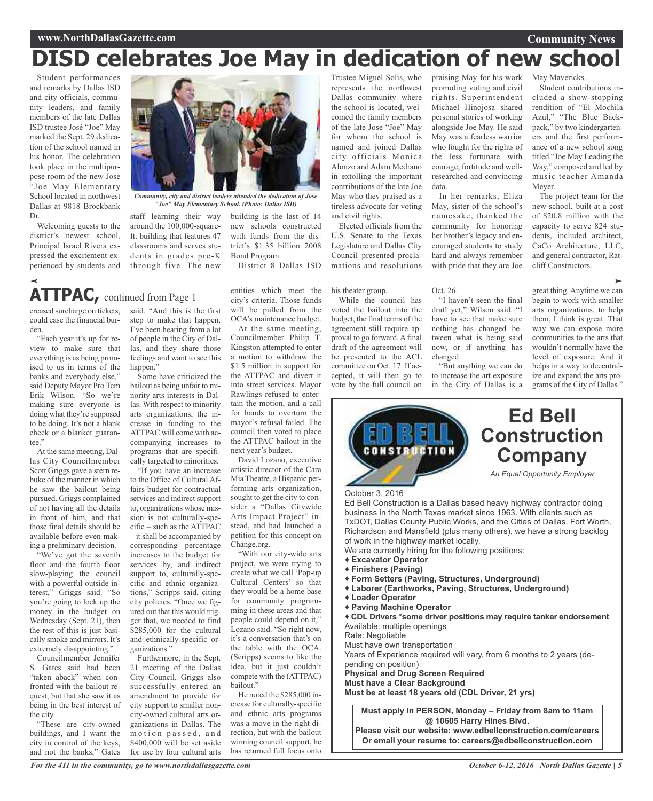# **DISD celebrates Joe May in dedication of new school**

Student performances and remarks by Dallas ISD and city officials, community leaders, and family members of the late Dallas ISD trustee José "Joe" May marked the Sept. 29 dedication of the school named in his honor. The celebration took place in the multipurpose room of the new Jose "Joe May Elementary School located in northwest Dallas at 9818 Brockbank Dr.

Welcoming guests to the district's newest school, Principal Israel Rivera expressed the excitement experienced by students and



*"Joe" May Elementary School. (Photo: Dallas ISD)*

around the 100,000-squareft. building that features 47 classrooms and serves students in grades pre-K through five. The new

staff learning their way building is the last of 14 new schools constructed with funds from the district's \$1.35 billion 2008 Bond Program.

District 8 Dallas ISD

## **ATTPAC,** continued from Page <sup>1</sup>

creased surcharge on tickets, could ease the financial burden.

"Each year it's up for review to make sure that everything is as being promised to us in terms of the banks and everybody else," said Deputy Mayor Pro Tem Erik Wilson. "So we're making sure everyone is doing what they're supposed to be doing. It's not a blank check or a blanket guarantee."

At the same meeting, Dallas City Councilmember Scott Griggs gave a stern rebuke of the manner in which he saw the bailout being pursued. Griggs complained of not having all the details in front of him, and that those final details should be available before even making a preliminary decision.

"We've got the seventh floor and the fourth floor slow-playing the council with a powerful outside interest," Griggs said. "So you're going to lock up the money in the budget on Wednesday (Sept. 21), then the rest of this is just basically smoke and mirrors. It's extremely disappointing."

Councilmember Jennifer S. Gates said had been "taken aback" when confronted with the bailout request, but that she saw it as being in the best interest of the city.

"These are city-owned buildings, and I want the city in control of the keys, and not the banks," Gates said. "And this is the first step to make that happen. I've been hearing from a lot of people in the City of Dallas, and they share those feelings and want to see this happen."

Some have criticized the bailout as being unfair to minority arts interests in Dallas. With respect to minority arts organizations, the increase in funding to the ATTPAC will come with accompanying increases to programs that are specifically targeted to minorities.

"If you have an increase to the Office of Cultural Affairs budget for contractual services and indirect support to, organizations whose mission is not culturally-specific – such as the ATTPAC – it shall be accompanied by corresponding percentage increases to the budget for services by, and indirect support to, culturally-specific and ethnic organizations," Scripps said, citing city policies. "Once we figured out that this would trigger that, we needed to find \$285,000 for the cultural and ethnically-specific organizations."

Furthermore, in the Sept. 21 meeting of the Dallas City Council, Griggs also successfully entered an amendment to provide for city support to smaller noncity-owned cultural arts organizations in Dallas. The motion passed, and \$400,000 will be set aside for use by four cultural arts

entities which meet the city's criteria. Those funds will be pulled from the OCA's maintenance budget.

At the same meeting, Councilmember Philip T. Kingston attempted to enter a motion to withdraw the \$1.5 million in support for the ATTPAC and divert it into street services. Mayor Rawlings refused to entertain the motion, and a call for hands to overturn the mayor's refusal failed. The council then voted to place the ATTPAC bailout in the next year's budget.

David Lozano, executive artistic director of the Cara Mia Theatre, a Hispanic performing arts organization, sought to get the city to consider a "Dallas Citywide Arts Impact Project" instead, and had launched a petition for this concept on Change.org.

"With our city-wide arts project, we were trying to create what we call 'Pop-up Cultural Centers' so that they would be a home base for community programming in these areas and that people could depend on it," Lozano said. "So right now, it's a conversation that's on the table with the OCA. (Scripps) seems to like the idea, but it just couldn't compete with the (ATTPAC) bailout."

He noted the \$285,000 increase for culturally-specific and ethnic arts programs was a move in the right direction, but with the bailout winning council support, he has returned full focus onto

Trustee Miguel Solis, who praising May for his work represents the northwest Dallas community where the school is located, welcomed the family members of the late Jose "Joe" May for whom the school is named and joined Dallas city officials Monica Alonzo and Adam Medrano in extolling the important contributions of the late Joe May who they praised as a tireless advocate for voting and civil rights.

Elected officials from the U.S. Senate to the Texas Legislature and Dallas City Council presented proclamations and resolutions

his theater group.

While the council has voted the bailout into the budget, the final terms of the agreement still require approval to go forward.Afinal draft of the agreement will be presented to the ACL committee on Oct. 17. If accepted, it will then go to vote by the full council on promoting voting and civil rights. Superintendent Michael Hinojosa shared personal stories of working alongside Joe May. He said May was a fearless warrior who fought for the rights of the less fortunate with courage, fortitude and wellresearched and convincing data.

In her remarks, Eliza May, sister of the school's namesake, thanked the community for honoring her brother's legacy and encouraged students to study hard and always remember with pride that they are Joe May Mavericks.

**Community News**

Student contributions included a show-stopping rendition of "El Mochila Azul," "The Blue Backpack," by two kindergarteners and the first performance of a new school song titled "Joe May Leading the Way," composed and led by music teacher Amanda Meyer.

The project team for the new school, built at a cost of \$20.8 million with the capacity to serve 824 students, included architect, CaCo Architecture, LLC, and general contractor, Ratcliff Constructors.

Oct. 26.

"I haven't seen the final draft yet," Wilson said. "I have to see that make sure nothing has changed between what is being said now, or if anything has changed.

"But anything we can do to increase the art exposure in the City of Dallas is a

great thing. Anytime we can begin to work with smaller arts organizations, to help them, I think is great. That way we can expose more communities to the arts that wouldn't normally have the level of exposure. And it helps in a way to decentralize and expand the arts programs of the City of Dallas."



**Please visit our website: www.edbellconstruction.com/careers Or email your resume to: careers@edbellconstruction.com**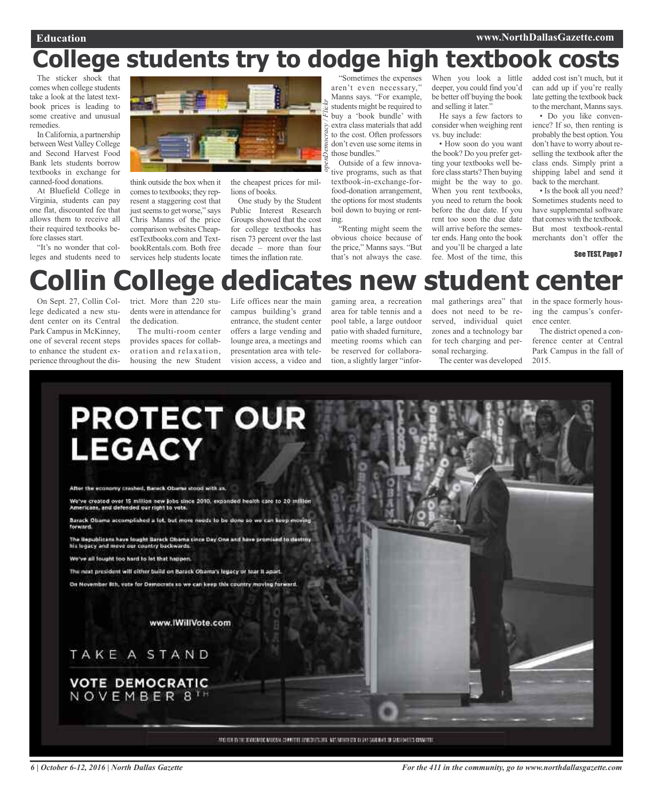## **College students try to dodge high textbook costs**

*openDemocracy / Flickr*

The sticker shock that comes when college students take a look at the latest textbook prices is leading to some creative and unusual remedies.

In California, a partnership between West Valley College and Second Harvest Food Bank lets students borrow textbooks in exchange for canned-food donations.

At Bluefield College in Virginia, students can pay one flat, discounted fee that allows them to receive all their required textbooks before classes start.

"It's no wonder that colleges and students need to



think outside the box when it comes to textbooks; they represent a staggering cost that just seems to get worse," says Chris Manns of the price comparison websites CheapestTextbooks.com and TextbookRentals.com. Both free services help students locate

the cheapest prices for millions of books.

One study by the Student Public Interest Research Groups showed that the cost for college textbooks has risen 73 percent over the last decade – more than four times the inflation rate.

"Sometimes the expenses aren't even necessary," Manns says. "For example, students might be required to buy a 'book bundle' with extra class materials that add to the cost. Often professors don't even use some items in those bundles."

Outside of a few innovative programs, such as that textbook-in-exchange-forfood-donation arrangement, the options for most students boil down to buying or renting.

"Renting might seem the obvious choice because of the price," Manns says. "But that's not always the case.

When you look a little deeper, you could find you'd be better off buying the book and selling it later."

He says a few factors to consider when weighing rent vs. buy include:

• How soon do you want the book? Do you prefer getting your textbooks well before class starts? Then buying might be the way to go. When you rent textbooks, you need to return the book before the due date. If you rent too soon the due date will arrive before the semester ends. Hang onto the book and you'll be charged a late fee. Most of the time, this

added cost isn't much, but it can add up if you're really late getting the textbook back to the merchant, Manns says.

• Do you like convenience? If so, then renting is probably the best option.You don't have to worry about reselling the textbook after the class ends. Simply print a shipping label and send it back to the merchant.

• Is the book all you need? Sometimes students need to have supplemental software that comes with the textbook. But most textbook-rental merchants don't offer the

See TEST, Page 7

# **Collin College dedicates new student center**

On Sept. 27, Collin College dedicated a new student center on its Central Park Campus in McKinney, one of several recent steps to enhance the student experience throughout the district. More than 220 students were in attendance for the dedication.

The multi-room center provides spaces for collaboration and relaxation, housing the new Student

Life offices near the main campus building's grand entrance, the student center offers a large vending and lounge area, a meetings and presentation area with television access, a video and

gaming area, a recreation area for table tennis and a pool table, a large outdoor patio with shaded furniture, meeting rooms which can be reserved for collaboration, a slightly larger "informal gatherings area" that does not need to be reserved, individual quiet zones and a technology bar for tech charging and personal recharging.

The center was developed

in the space formerly housing the campus's conference center.

The district opened a conference center at Central Park Campus in the fall of 2015.

# **PROTECT OUR LEGACY**

After the economy crashed, flarack Obama stood with us.

We've created over 15 million new jobs since 2010, expanded health care to 20 million<br>Americans, and detended our right to vote.

Barack Obama accumplished a lot, but more needs to be done so we can keep moving

he Sepublicans have lought Barack Oberna since Day One and have promised to destroy his lenger and move our country backwards

We've all fought too hard to let that happen.

The next president will either build on Barack Obama's legacy or tear it apart

On November 8th, vote for Democrats so we can keep this country moving forward

www.IWillVote.com

TAKE A STAND

**VOTE DEMOCRATIC** NOVEMBER 8<sup>1+</sup>

AND THE REPORT OF MAKING AND RESIDENCE AND A RELATED FOR A 24YO DAMAGE OF CASHING CONTROL.

*For the 411 in the community, go to www.northdallasgazette.com*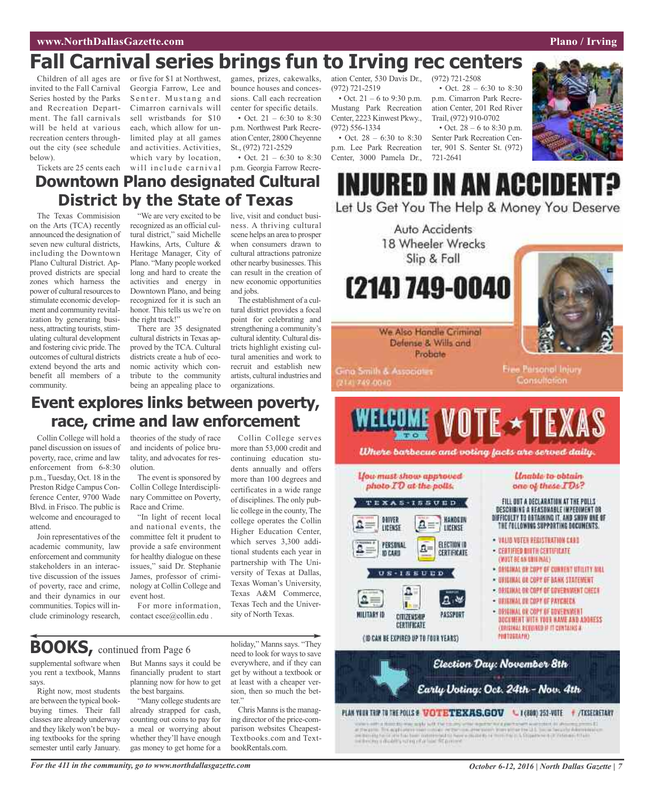#### **www.NorthDallasGazette.com Plano** / **Irving**

## **Fall Carnival series brings fun to Irving rec centers**

Children of all ages are invited to the Fall Carnival Series hosted by the Parks and Recreation Department. The fall carnivals will be held at various recreation centers throughout the city (see schedule below).

Tickets are 25 cents each

or five for \$1 at Northwest, Georgia Farrow, Lee and Senter. Mustang and Cimarron carnivals will sell wristbands for \$10 each, which allow for unlimited play at all games and activities. Activities, which vary by location, will include carnival

games, prizes, cakewalks, bounce houses and concessions. Call each recreation center for specific details.

• Oct. 21 – 6:30 to 8:30 p.m. Northwest Park Recreation Center, 2800 Cheyenne St., (972) 721-2529

• Oct. 21 – 6:30 to 8:30 p.m. Georgia Farrow Recre-

## **Downtown Plano designated Cultural District by the State of Texas**

The Texas Commisision on the Arts (TCA) recently announced the designation of seven new cultural districts, including the Downtown Plano Cultural District. Approved districts are special zones which harness the power of cultural resources to stimulate economic development and community revitalization by generating business, attracting tourists, stimulating cultural development and fostering civic pride.The outcomes of cultural districts extend beyond the arts and benefit all members of a community.

recognized as an official cultural district," said Michelle Hawkins, Arts, Culture & Heritage Manager, City of Plano. "Many people worked long and hard to create the activities and energy in Downtown Plano, and being recognized for it is such an honor. This tells us we're on the right track!"

There are 35 designated cultural districts in Texas approved by the TCA. Cultural districts create a hub of economic activity which contribute to the community being an appealing place to

"We are very excited to be live, visit and conduct business. A thriving cultural scene helps an area to prosper when consumers drawn to cultural attractions patronize other nearby businesses.This can result in the creation of new economic opportunities and jobs.

The establishment of a cultural district provides a focal point for celebrating and strengthening a community's cultural identity. Cultural districts highlight existing cultural amenities and work to recruit and establish new artists, cultural industries and organizations.

Collin College serves more than 53,000 credit and continuing education students annually and offers more than 100 degrees and certificates in a wide range of disciplines. The only public college in the county, The college operates the Collin Higher Education Center, which serves 3,300 additional students each year in partnership with The University of Texas at Dallas, Texas Woman's University, Texas A&M Commerce, Texas Tech and the Univer-

## **Event explores links between poverty, race, crime and law enforcement**

Collin College will hold a panel discussion on issues of poverty, race, crime and law enforcement from 6-8:30 p.m., Tuesday, Oct. 18 in the Preston Ridge Campus Conference Center, 9700 Wade Blvd. in Frisco. The public is welcome and encouraged to attend.

Join representatives of the academic community, law enforcement and community stakeholders in an interactive discussion of the issues of poverty, race and crime, and their dynamics in our communities. Topics will include criminology research,

theories of the study of race and incidents of police brutality, and advocates for resolution.

The event is sponsored by Collin College Interdisciplinary Committee on Poverty, Race and Crime.

"In light of recent local and national events, the committee felt it prudent to provide a safe environment for healthy dialogue on these issues," said Dr. Stephanie James, professor of criminology at Collin College and event host.

For more information, contact csce@collin.edu .

## **BOOKS,** continued from Page <sup>6</sup>

supplemental software when you rent a textbook, Manns says.

Right now, most students are between the typical bookbuying times. Their fall classes are already underway and they likely won't be buying textbooks for the spring semester until early January.

But Manns says it could be financially prudent to start planning now for how to get the best bargains.

"Many college students are already strapped for cash, counting out coins to pay for a meal or worrying about whether they'll have enough gas money to get home for a

holiday," Manns says. "They need to look for ways to save everywhere, and if they can get by without a textbook or at least with a cheaper version, then so much the better."

sity of North Texas.

Chris Manns is the managing director of the price-comparison websites Cheapest-Textbooks.com and TextbookRentals.com.

ation Center, 530 Davis Dr., (972) 721-2508 (972) 721-2519

• Oct.  $21 - 6$  to 9:30 p.m. Mustang Park Recreation Center, 2223 Kinwest Pkwy., (972) 556-1334

• Oct.  $28 - 6:30$  to 8:30 p.m. Lee Park Recreation Center, 3000 Pamela Dr.,

• Oct. 28 – 6:30 to 8:30 p.m. Cimarron Park Recre-

ation Center, 201 Red River Trail, (972) 910-0702 • Oct.  $28 - 6$  to 8:30 p.m. Senter Park Recreation Center, 901 S. Senter St. (972) 721-2641



INJURED IN AN ACCIDE Let Us Get You The Help & Money You Deserve

Auto Accidents 18 Wheeler Wrecks Slip & Fall (214) 749-0040 We Also Handle Criminal Defense & Wills and Probate

**Gina Smith & Associates** 2141749-0040

Free Paisonal Injury Consultation:



Where barbecus and voting facts are served daily.

#### **How must show approved** photo I'D at the polls.

### TEXAS-ISSUED

*<u>HANDERS</u>* DAIVER  $a = -$ LICENSE LIDENSE PERSONAL **BLECTION**  $R =$ CERTIFICATE ID CARD

 $US - 15 SUUD$ 



#### Unable to obtain one of these TDs?

FILL OUT A DECLARATION AT THE POLLS DESCRIBING A REASONABLE IMPEDIMENT OR DIFFICULTY TO OBTAINING IT, AND SHOW ONE OF THE FOLLOWING SUPPORTING BOCUMENTS.

- VALID VOTER REGISTRATION CARD
- CERTIFIED BIRTH CERTIFICATE (MUST BE AN UNIT INAL)
- · ORIGINAL OR COPY OF CONNENT UTOLITY BILL
- URIGINAL OR COPY OF BANK STATEMENT
- ORIGINAL OR COPY OF DOVERNMENT CHECK
- URIGINAL DE COPY OF PAYCHECK
- DRIGHAL OR COPY OF DUVERNMENT
- *DOCEMENT WITH YOUR HAME AND ADDRESS* **CEREINAL RETURNED IF IT CENTAINS A** PHOTOGRAPH)



 $\alpha$  from all allows a photon between a linear contract in  $\theta$  , where  $\alpha$  is a property of the form of  $\alpha$  , and  $\alpha$  , and  $\alpha$  , and  $\alpha$  , and  $\alpha$  , and  $\alpha$  , and  $\alpha$  , and  $\alpha$  , and  $\alpha$  , and  $\alpha$  , and  $\alpha$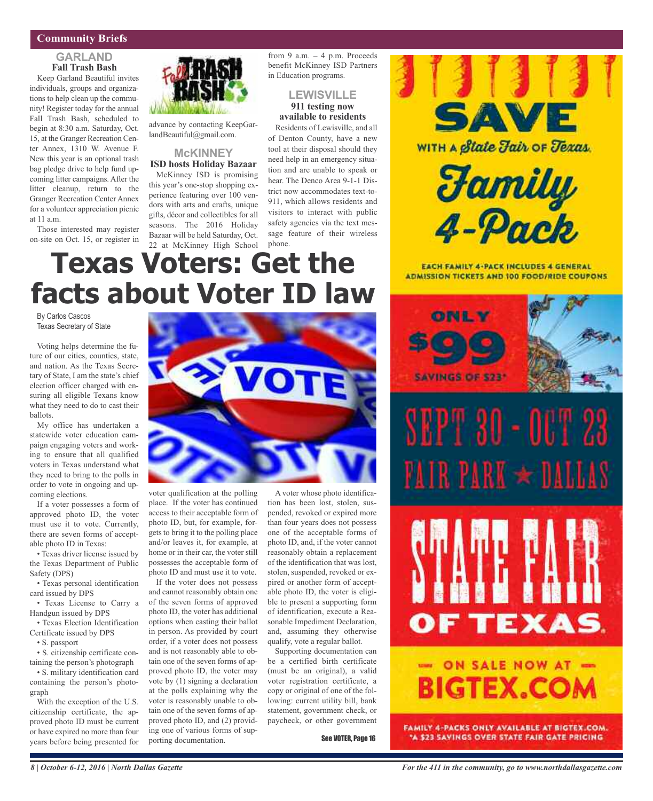#### **Community Briefs**

#### **GARLAND Fall Trash Bash**

Keep Garland Beautiful invites individuals, groups and organizations to help clean up the community! Register today for the annual Fall Trash Bash, scheduled to begin at 8:30 a.m. Saturday, Oct. 15, at the Granger Recreation Center Annex, 1310 W. Avenue F. New this year is an optional trash bag pledge drive to help fund upcoming litter campaigns. After the litter cleanup, return to the Granger Recreation Center Annex for a volunteer appreciation picnic at 11 a.m.

Those interested may register on-site on Oct. 15, or register in



advance by contacting KeepGarlandBeautiful@gmail.com.

### **McKINNEY**

**ISD hosts Holiday Bazaar** McKinney ISD is promising this year's one-stop shopping experience featuring over 100 vendors with arts and crafts, unique gifts, décor and collectibles for all seasons. The 2016 Holiday Bazaar will be held Saturday, Oct. 22 at McKinney High School from 9 a.m.  $-4$  p.m. Proceeds benefit McKinney ISD Partners in Education programs.

#### **LEWISVILLE 911 testing now available to residents**

Residents of Lewisville, and all of Denton County, have a new tool at their disposal should they need help in an emergency situation and are unable to speak or hear. The Denco Area 9-1-1 District now accommodates text-to-911, which allows residents and visitors to interact with public safety agencies via the text message feature of their wireless phone.

# **Texas Voters: Get the facts about Voter ID law**

By Carlos Cascos Texas Secretary of State

Voting helps determine the future of our cities, counties, state, and nation. As the Texas Secretary of State, I am the state's chief election officer charged with ensuring all eligible Texans know what they need to do to cast their ballots.

My office has undertaken a statewide voter education campaign engaging voters and working to ensure that all qualified voters in Texas understand what they need to bring to the polls in order to vote in ongoing and upcoming elections.

If a voter possesses a form of approved photo ID, the voter must use it to vote. Currently, there are seven forms of acceptable photo ID in Texas:

• Texas driver license issued by the Texas Department of Public Safety (DPS)

• Texas personal identification card issued by DPS

• Texas License to Carry a Handgun issued by DPS

• Texas Election Identification Certificate issued by DPS

• S. passport

• S. citizenship certificate containing the person's photograph

• S. military identification card containing the person's photograph

With the exception of the U.S. citizenship certificate, the approved photo ID must be current or have expired no more than four years before being presented for



voter qualification at the polling place. If the voter has continued access to their acceptable form of photo ID, but, for example, forgets to bring it to the polling place and/or leaves it, for example, at home or in their car, the voter still possesses the acceptable form of photo ID and must use it to vote.

If the voter does not possess and cannot reasonably obtain one of the seven forms of approved photo ID, the voter has additional options when casting their ballot in person. As provided by court order, if a voter does not possess and is not reasonably able to obtain one of the seven forms of approved photo ID, the voter may vote by (1) signing a declaration at the polls explaining why the voter is reasonably unable to obtain one of the seven forms of approved photo ID, and (2) providing one of various forms of supporting documentation.

A voter whose photo identification has been lost, stolen, suspended, revoked or expired more than four years does not possess one of the acceptable forms of photo ID, and, if the voter cannot reasonably obtain a replacement of the identification that was lost, stolen, suspended, revoked or expired or another form of acceptable photo ID, the voter is eligible to present a supporting form of identification, execute a Reasonable Impediment Declaration, and, assuming they otherwise qualify, vote a regular ballot.

Supporting documentation can be a certified birth certificate (must be an original), a valid voter registration certificate, a copy or original of one of the following: current utility bill, bank statement, government check, or paycheck, or other government

#### See VOTER, Page 16





**EACH FAMILY 4-PACK INCLUDES 4 GENERAL ADMISSION TICKETS AND 100 FOOD/RIDE COUPONS** 

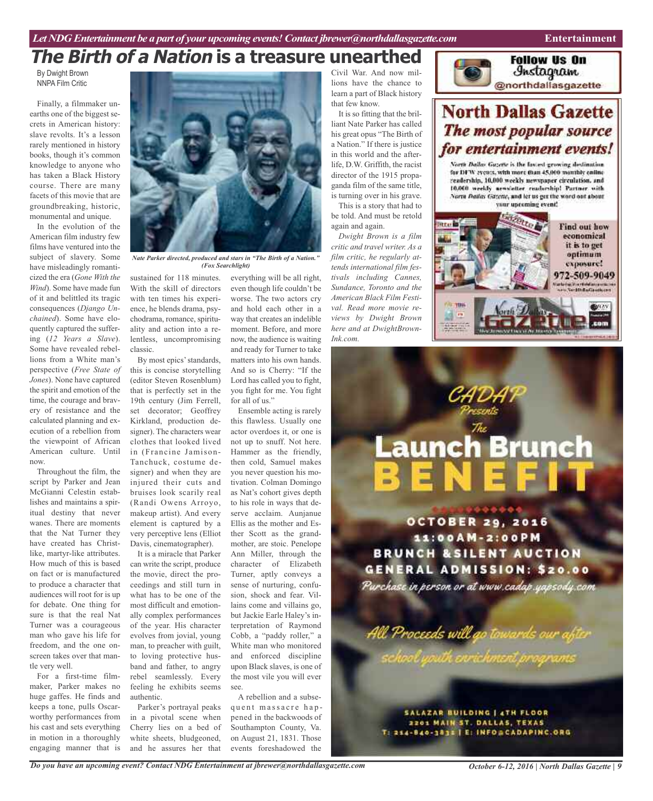## **The Birth of <sup>a</sup> Nation is a treasure unearthed**

By Dwight Brown NNPA Film Critic

Finally, a filmmaker unearths one of the biggest secrets in American history: slave revolts. It's a lesson rarely mentioned in history books, though it's common knowledge to anyone who has taken a Black History course. There are many facets of this movie that are groundbreaking, historic, monumental and unique.

In the evolution of the American film industry few films have ventured into the subject of slavery. Some have misleadingly romanticized the era (*Gone With the Wind*). Some have made fun of it and belittled its tragic consequences (*Django Unchained*). Some have eloquently captured the suffering (*12 Years a Slave*). Some have revealed rebellions from a White man's perspective (*Free State of Jones*). None have captured the spirit and emotion of the time, the courage and bravery of resistance and the calculated planning and execution of a rebellion from the viewpoint of African American culture. Until now.

Throughout the film, the script by Parker and Jean McGianni Celestin establishes and maintains a spiritual destiny that never wanes. There are moments that the Nat Turner they have created has Christlike, martyr-like attributes. How much of this is based on fact or is manufactured to produce a character that audiences will root for is up for debate. One thing for sure is that the real Nat Turner was a courageous man who gave his life for freedom, and the one onscreen takes over that mantle very well.

For a first-time filmmaker, Parker makes no huge gaffes. He finds and keeps a tone, pulls Oscarworthy performances from his cast and sets everything in motion in a thoroughly engaging manner that is



*Nate Parker directed, produced and stars in "The Birth of a Nation." (Fox Searchlight)*

sustained for 118 minutes. With the skill of directors with ten times his experience, he blends drama, psychodrama, romance, spirituality and action into a relentless, uncompromising classic.

By most epics'standards, this is concise storytelling (editor Steven Rosenblum) that is perfectly set in the 19th century (Jim Ferrell, set decorator; Geoffrey Kirkland, production designer). The characters wear clothes that looked lived in (Francine Jamison-Tanchuck, costume designer) and when they are injured their cuts and bruises look scarily real (Randi Owens Arroyo, makeup artist). And every element is captured by a very perceptive lens (Elliot Davis, cinematographer).

It is a miracle that Parker can write the script, produce the movie, direct the proceedings and still turn in what has to be one of the most difficult and emotionally complex performances of the year. His character evolves from jovial, young man, to preacher with guilt, to loving protective husband and father, to angry rebel seamlessly. Every feeling he exhibits seems authentic.

Parker's portrayal peaks in a pivotal scene when Cherry lies on a bed of white sheets, bludgeoned, and he assures her that

everything will be all right, even though life couldn't be worse. The two actors cry and hold each other in a way that creates an indelible moment. Before, and more now, the audience is waiting and ready for Turner to take matters into his own hands. And so is Cherry: "If the Lord has called you to fight, you fight for me. You fight for all of us."

Ensemble acting is rarely this flawless. Usually one actor overdoes it, or one is not up to snuff. Not here. Hammer as the friendly, then cold, Samuel makes you never question his motivation. Colman Domingo as Nat's cohort gives depth to his role in ways that deserve acclaim. Aunjanue Ellis as the mother and Esther Scott as the grandmother, are stoic. Penelope Ann Miller, through the character of Elizabeth Turner, aptly conveys a sense of nurturing, confusion, shock and fear. Villains come and villains go, but Jackie Earle Haley's interpretation of Raymond Cobb, a "paddy roller," a White man who monitored and enforced discipline upon Black slaves, is one of the most vile you will ever see.

A rebellion and a subsequent massacre happened in the backwoods of Southampton County, Va. on August 21, 1831. Those events foreshadowed the

Civil War. And now millions have the chance to learn a part of Black history that few know.

It is so fitting that the brilliant Nate Parker has called his great opus "The Birth of a Nation." If there is justice in this world and the afterlife, D.W. Griffith, the racist director of the 1915 propaganda film of the same title, is turning over in his grave.

This is a story that had to be told. And must be retold again and again.

*Dwight Brown is a film critic and travel writer. As a film critic, he regularly attends international film festivals including Cannes, Sundance, Toronto and the American Black Film Festival. Read more movie reviews by Dwight Brown here and at DwightBrown-Ink.com.*



## **North Dallas Gazette** The most popular source for entertainment events!

North Dallas Guzette is the fustest growing destination for DFW events, with more than 45,000 monthly entine readership, 10,000 weekly newypaper circulation, and 10.000 weekly aewsletter readership! Partner with North Dailas Gazette, and let us get the word out about your upcoming event!



**OCTOBER 29, 2016** 11:00AM-2:00PM **BRUNCH &SILENT AUCTION GENERAL ADMISSION: \$20.00** 

**Launch Brunch** 

Purchase in person or at www.cadap.yapsody.com

All Proceeds will go to



*Do you have an upcoming event? Contact NDG Entertainment at jbrewer@northdallasgazette.com*

*October 6-12, 2016 | North Dallas Gazette | 9*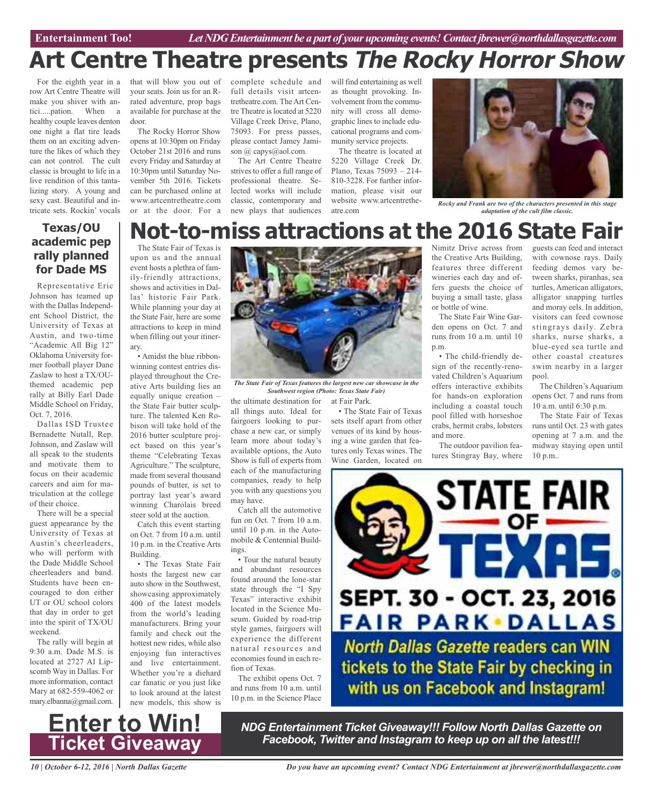Entertainment Too! *Let NDG Entertainment be a part of your upcoming events! Contact jbrewer@northdallasgazette.com* 

## **Art Centre Theatre presents The Rocky Horror Show**

For the eighth year in a row Art Centre Theatre will make you shiver with antici.....pation. When a healthy couple leaves denton one night a flat tire leads them on an exciting adventure the likes of which they can not control. The cult classic is brought to life in a live rendition of this tantalizing story. A young and sexy cast. Beautiful and intricate sets. Rockin' vocals

that will blow you out of your seats. Join us for an Rrated adventure, prop bags available for purchase at the door.

The Rocky Horror Show opens at 10:30pm on Friday October 21st 2016 and runs every Friday and Saturday at 10:30pm until Saturday November 5th 2016. Tickets can be purchased online at www.artcentretheatre.com or at the door. For a complete schedule and full details visit artcentretheatre.com. TheArt Centre Theatre is located at 5220 Village Creek Drive, Plano, 75093. For press passes, please contact Jamey Jamison @ capys@aol.com.

The Art Centre Theatre strives to offer a full range of professional theatre. Selected works will include classic, contemporary and new plays that audiences

the ultimate destination for all things auto. Ideal for fairgoers looking to purchase a new car, or simply learn more about today's available options, the Auto Show is full of experts from each of the manufacturing companies, ready to help you with any questions you

Catch all the automotive fun on Oct. 7 from 10 a.m. until 10 p.m. in the Automobile & Centennial Build-

• Tour the natural beauty and abundant resources found around the lone-star state through the "I Spy Texas" interactive exhibit located in the Science Museum. Guided by road-trip style games, fairgoers will experience the different natural resources and economies found in each re-

The exhibit opens Oct. 7 and runs from 10 a.m. until 10 p.m. in the Science Place

may have.

ings.

fion of Texas.

will find entertaining as well as thought provoking. Involvement from the community will cross all demographic lines to include educational programs and community service projects.

The theatre is located at 5220 Village Creek Dr. Plano, Texas 75093 – 214- 810-3228. For further information, please visit our website www.artcentretheatre.com



*Rocky and Frank are two of the characters presented in this stage adaptation of the cult film classic.*

### **Texas/OU academic pep rally planned for Dade MS**

Representative Eric Johnson has teamed up with the Dallas Independent School District, the University of Texas at Austin, and two-time "Academic All Big 12" Oklahoma University former football player Dane Zaslaw to host a TX/OUthemed academic pep rally at Billy Earl Dade Middle School on Friday, Oct. 7, 2016.

Dallas ISD Trustee Bernadette Nutall, Rep. Johnson, and Zaslaw will all speak to the students and motivate them to focus on their academic careers and aim for matriculation at the college of their choice.

There will be a special guest appearance by the University of Texas at Austin's cheerleaders, who will perform with the Dade Middle School cheerleaders and band. Students have been encouraged to don either UT or OU school colors that day in order to get into the spirit of TX/OU weekend.

The rally will begin at 9:30 a.m. Dade M.S. is located at 2727 Al Lipscomb Way in Dallas. For more information, contact Mary at 682-559-4062 or mary.elbanna@gmail.com.

The State Fair of Texas is upon us and the annual event hosts a plethra of family-friendly attractions, shows and activities in Dallas' historic Fair Park. While planning your day at the State Fair, here are some attractions to keep in mind when filling out your itinerary. **Not-to-miss attractions at the 2016 State Fair**

• Amidst the blue ribbonwinning contest entries displayed throughout the Creative Arts building lies an equally unique creation  $$ the State Fair butter sculpture. The talented Ken Robison will take hold of the 2016 butter sculpture project based on this year's theme "Celebrating Texas Agriculture." The sculpture, made from several thousand pounds of butter, is set to portray last year's award winning Charolais breed steer sold at the auction.

Catch this event starting on Oct. 7 from 10 a.m. until 10 p.m. in the Creative Arts Building.

• The Texas State Fair hosts the largest new car auto show in the Southwest, showcasing approximately 400 of the latest models from the world's leading manufacturers. Bring your family and check out the hottest new rides, while also enjoying fun interactives and live entertainment. Whether you're a diehard car fanatic or you just like to look around at the latest new models, this show is



*The State Fair of Texas features the largest new car showcase in the Southwest region (Photo: Texas State Fair)*

at Fair Park.

• The State Fair of Texas sets itself apart from other venues of its kind by housing a wine garden that features only Texas wines. The Wine Garden, located on

Nimitz Drive across from the Creative Arts Building, features three different wineries each day and offers guests the choice of buying a small taste, glass or bottle of wine.

The State Fair Wine Garden opens on Oct. 7 and runs from 10 a.m. until 10 p.m.

• The child-friendly design of the recently-renovated Children's Aquarium offers interactive exhibits for hands-on exploration including a coastal touch pool filled with horseshoe crabs, hermit crabs, lobsters and more.

The outdoor pavilion features Stingray Bay, where guests can feed and interact with cownose rays. Daily feeding demos vary between sharks, piranhas, sea turtles, American alligators, alligator snapping turtles and moray eels. In addition, visitors can feed cownose stingrays daily. Zebra sharks, nurse sharks, a blue-eyed sea turtle and other coastal creatures swim nearby in a larger pool.

The Children's Aquarium opens Oct. 7 and runs from 10 a.m. until 6:30 p.m.

The State Fair of Texas runs until Oct. 23 with gates opening at 7 a.m. and the midway staying open until 10 p.m..

**STATE FAIR** TEXPE SEPT. 30 - OCT. 23, 2016 **FAIR PARK DALLAS** North Dallas Gazette readers can WIN tickets to the State Fair by checking in with us on Facebook and Instagram!



*NDG Entertainment Ticket Giveaway!!! Follow North Dallas Gazette on Facebook, Twitter and Instagram to keep up on all the latest!!!*

*10 | October 6-12, 2016 | North Dallas Gazette*

*Do you have an upcoming event? Contact NDG Entertainment at jbrewer@northdallasgazette.com*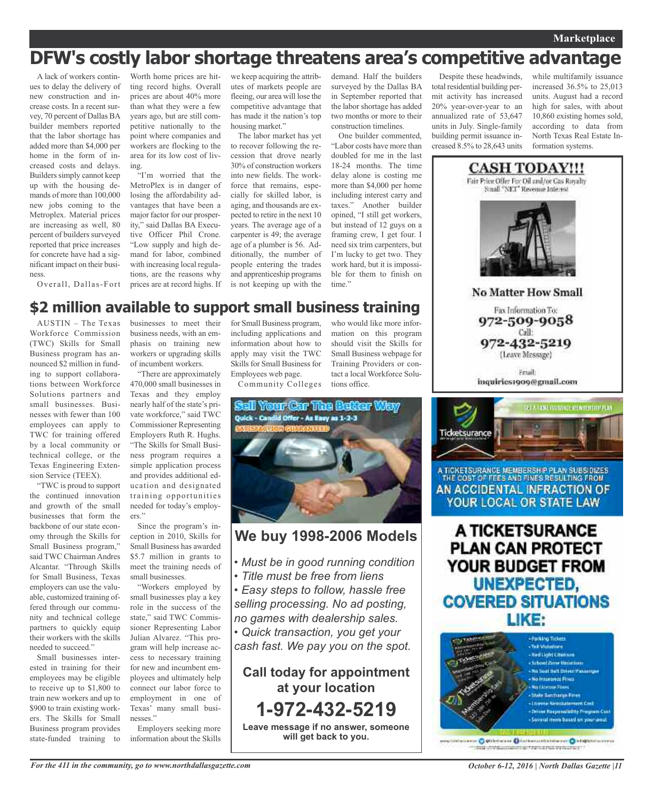#### **Marketplace**

## **DFW's costly labor shortage threatens area's competitive advantage**

A lack of workers continues to delay the delivery of new construction and increase costs. In a recent survey, 70 percent of Dallas BA builder members reported that the labor shortage has added more than \$4,000 per home in the form of increased costs and delays. Builders simply cannot keep up with the housing demands of more than 100,000 new jobs coming to the Metroplex. Material prices are increasing as well, 80 percent of builders surveyed reported that price increases for concrete have had a significant impact on their business. Overall, Dallas-Fort

Worth home prices are hitting record highs. Overall prices are about 40% more than what they were a few years ago, but are still competitive nationally to the point where companies and workers are flocking to the area for its low cost of living.

"I'm worried that the MetroPlex is in danger of losing the affordability advantages that have been a major factor for our prosperity," said Dallas BA Executive Officer Phil Crone. "Low supply and high demand for labor, combined with increasing local regulations, are the reasons why prices are at record highs. If

we keep acquiring the attributes of markets people are fleeing, our area will lose the competitive advantage that has made it the nation's top housing market."

The labor market has yet to recover following the recession that drove nearly 30% of construction workers into new fields. The workforce that remains, especially for skilled labor, is aging, and thousands are expected to retire in the next 10 years. The average age of a carpenter is 49; the average age of a plumber is 56. Additionally, the number of people entering the trades and apprenticeship programs is not keeping up with the

demand. Half the builders surveyed by the Dallas BA in September reported that the labor shortage has added two months or more to their construction timelines.

One builder commented, "Labor costs have more than doubled for me in the last 18-24 months. The time delay alone is costing me more than \$4,000 per home including interest carry and taxes." Another builder opined, "I still get workers, but instead of 12 guys on a framing crew, I get four. I need six trim carpenters, but I'm lucky to get two. They work hard, but it is impossible for them to finish on time.'

who would like more information on this program should visit the Skills for Small Business webpage for Training Providers or contact a local Workforce Solu-

tions office.

Despite these headwinds, total residential building permit activity has increased 20% year-over-year to an annualized rate of 53,647 units in July. Single-family building permit issuance increased 8.5% to 28,643 units

while multifamily issuance increased 36.5% to 25,013 units. August had a record high for sales, with about 10,860 existing homes sold, according to data from North Texas Real Estate Information systems.



### **\$2 million available to support small business training**

AUSTIN – The Texas Workforce Commission (TWC) Skills for Small Business program has announced \$2 million in funding to support collaborations between Workforce Solutions partners and small businesses. Businesses with fewer than 100 employees can apply to TWC for training offered by a local community or technical college, or the Texas Engineering Extension Service (TEEX).

"TWC is proud to support the continued innovation and growth of the small businesses that form the backbone of our state economy through the Skills for Small Business program," said TWC Chairman Andres Alcantar. "Through Skills for Small Business, Texas employers can use the valuable, customized training offered through our community and technical college partners to quickly equip their workers with the skills needed to succeed."

Small businesses interested in training for their employees may be eligible to receive up to \$1,800 to train new workers and up to \$900 to train existing workers. The Skills for Small Business program provides state-funded training to businesses to meet their business needs, with an emphasis on training new workers or upgrading skills of incumbent workers.

"There are approximately 470,000 small businesses in Texas and they employ nearly half of the state's private workforce," said TWC Commissioner Representing Employers Ruth R. Hughs. "The Skills for Small Business program requires a simple application process and provides additional education and designated training opportunities needed for today's employers."

Since the program's inception in 2010, Skills for Small Business has awarded \$5.7 million in grants to meet the training needs of small businesses.

"Workers employed by small businesses play a key role in the success of the state," said TWC Commissioner Representing Labor Julian Alvarez. "This program will help increase access to necessary training for new and incumbent employees and ultimately help connect our labor force to employment in one of Texas' many small businesses."

Employers seeking more information about the Skills for Small Business program, including applications and information about how to apply may visit the TWC Skills for Small Business for Employees web page.

Community Colleges



### **We buy 1998-2006 Models**

- *• Must be in good running condition*
- *• Title must be free from liens*
- *• Easy steps to follow, hassle free selling processing. No ad posting, no games with dealership sales.*

*• Quick transaction, you get your cash fast. We pay you on the spot.*

**Call today for appointment at your location 1-972-432-5219 Leave message if no answer, someone will get back to you.**



972-509-9058 Call: 972-432-5219 (Leave Message)

**Email** inquiries1909@gmail.com

A TICKETSURANCE MEMBERSH P PLAN SUBSIDIZES THE COST OF FEES AND FINES RESULTING FROM AN ACCIDENTAL INFRACTION OF YOUR LOCAL OR STATE LAW

A TICKETSURANCE **PLAN CAN PROTECT** YOUR BUDGET FROM **UNEXPECTED, COVERED SITUATIONS** LIKE:



nen Ostleterer Oferhetentromene Oktoportuurren mik invisionische Frenchen verworen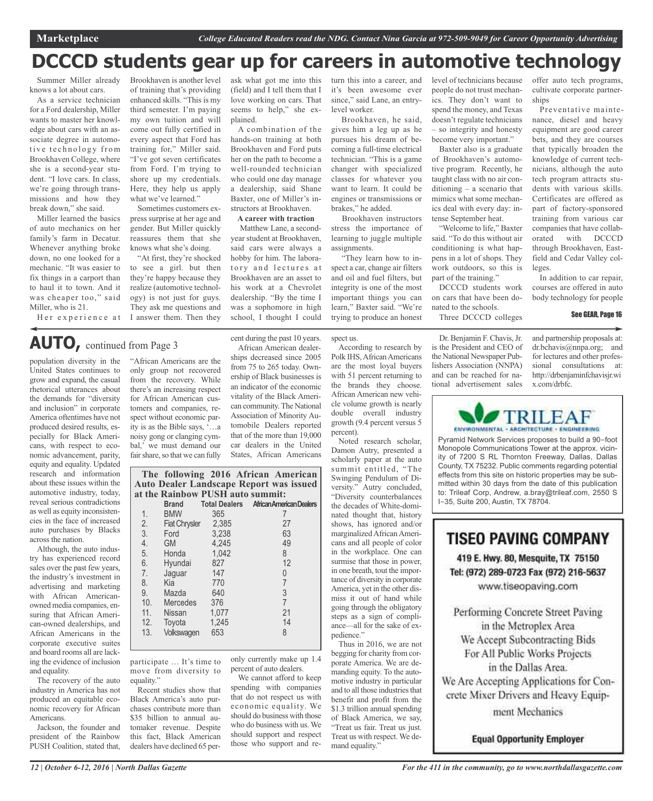## **DCCCD students gear up for careers in automotive technology**

Summer Miller already knows a lot about cars.

As a service technician for a Ford dealership, Miller wants to master her knowledge about cars with an associate degree in automotive technology from Brookhaven College, where she is a second-year student. "I love cars. In class, we're going through transmissions and how they break down," she said.

Miller learned the basics of auto mechanics on her family's farm in Decatur. Whenever anything broke down, no one looked for a mechanic. "It was easier to fix things in a carport than to haul it to town. And it was cheaper too," said Miller, who is 21.

Her experience at

population diversity in the United States continues to grow and expand, the casual rhetorical utterances about the demands for "diversity and inclusion" in corporate America oftentimes have not produced desired results, especially for Black Americans, with respect to economic advancement, parity, equity and equality. Updated research and information about these issues within the automotive industry, today, reveal serious contradictions as well as equity inconsistencies in the face of increased auto purchases by Blacks

**AUTO,** continued from Page <sup>3</sup>

across the nation.

and equality.

Americans.

Although, the auto industry has experienced record sales over the past few years, the industry's investment in advertising and marketing with African Americanowned media companies, ensuring that African American-owned dealerships, and African Americans in the corporate executive suites and board rooms all are lacking the evidence of inclusion

The recovery of the auto industry in America has not produced an equitable economic recovery for African

Jackson, the founder and president of the Rainbow PUSH Coalition, stated that,

Brookhaven is another level of training that's providing enhanced skills. "This is my third semester. I'm paying my own tuition and will come out fully certified in every aspect that Ford has training for," Miller said. "I've got seven certificates from Ford. I'm trying to shore up my credentials. Here, they help us apply what we've learned."

Sometimes customers express surprise at her age and gender. But Miller quickly reassures them that she knows what she's doing.

"At first, they're shocked to see a girl. but then they're happy because they realize (automotive technology) is not just for guys. They ask me questions and I answer them. Then they

ask what got me into this (field) and I tell them that I love working on cars. That seems to help," she explained.

A combination of the hands-on training at both Brookhaven and Ford puts her on the path to become a well-rounded technician who could one day manage a dealership, said Shane Baxter, one of Miller's instructors at Brookhaven.

**A career with traction**

Matthew Lane, a secondyear student at Brookhaven, said cars were always a hobby for him. The laboratory and lectures at Brookhaven are an asset to his work at a Chevrolet dealership. "By the time I was a sophomore in high school, I thought I could

cent during the past 10 years.

African American dealerships decreased since 2005 from 75 to 265 today. Ownership of Black businesses is an indicator of the economic vitality of the Black American community.The National Association of Minority Automobile Dealers reported that of the more than 19,000 car dealers in the United States, African Americans

turn this into a career, and it's been awesome ever since," said Lane, an entrylevel worker. Brookhaven, he said,

gives him a leg up as he pursues his dream of becoming a full-time electrical technician. "This is a game changer with specialized classes for whatever you want to learn. It could be engines or transmissions or brakes," he added.

Brookhaven instructors stress the importance of learning to juggle multiple assignments.

"They learn how to inspect a car, change air filters and oil and fuel filters, but integrity is one of the most important things you can learn," Baxter said. "We're trying to produce an honest

spect us.

According to research by Polk IHS, African Americans are the most loyal buyers with 51 percent returning to the brands they choose. African American new vehicle volume growth is nearly double overall industry growth (9.4 percent versus 5 percent).

Noted research scholar, Damon Autry, presented a scholarly paper at the auto summit entitled, "The Swinging Pendulum of Diversity." Autry concluded, "Diversity counterbalances the decades of White-dominated thought that, history shows, has ignored and/or marginalizedAfricanAmericans and all people of color in the workplace. One can surmise that those in power, in one breath, tout the importance of diversity in corporate America, yet in the other dismiss it out of hand while going through the obligatory steps as a sign of compliance—all for the sake of expedience."

Thus in 2016, we are not begging for charity from corporate America. We are demanding equity. To the automotive industry in particular and to all those industries that benefit and profit from the \$1.3 trillion annual spending of Black America, we say, "Treat us fair. Treat us just. Treat us with respect. We demand equality."

level of technicians because people do not trust mechanics. They don't want to spend the money, and Texas doesn't regulate technicians – so integrity and honesty become very important."

Baxter also is a graduate of Brookhaven's automotive program. Recently, he taught class with no air conditioning – a scenario that mimics what some mechanics deal with every day: intense September heat.

"Welcome to life," Baxter said. "To do this without air conditioning is what happens in a lot of shops. They work outdoors, so this is part of the training."

DCCCD students work on cars that have been donated to the schools.

Three DCCCD colleges

Dr. Benjamin F. Chavis, Jr. is the President and CEO of the National Newspaper Publishers Association (NNPA) and can be reached for national advertisement sales

offer auto tech programs, cultivate corporate partnerships

Preventative maintenance, diesel and heavy equipment are good career bets, and they are courses that typically broaden the knowledge of current technicians, although the auto tech program attracts students with various skills. Certificates are offered as part of factory-sponsored training from various car companies that have collaborated with DCCCD through Brookhaven, Eastfield and Cedar Valley colleges.

In addition to car repair, courses are offered in auto body technology for people

#### See GEAR, Page 16

and partnership proposals at: dr.bchavis@nnpa.org; and for lectures and other professional consultations at: http://drbenjaminfchavisjr.wi x.com/drbfc.



Pyramid Network Services proposes to build a 90-foot Monopole Communications Tower at the approx. vicinity of 7200 S RL Thornton Freeway, Dallas, Dallas County, TX 75232. Public comments regarding potential effects from this site on historic properties may be submitted within 30 days from the date of this publication to: Trileaf Corp, Andrew, a.bray@trileaf.com, 2550 S I-35, Suite 200, Austin, TX 78704.

## **TISEO PAVING COMPANY**

419 E. Hwy. 80, Mesquite, TX 75150 Tel: (972) 289-0723 Fax (972) 216-5637 www.tiseopaving.com

Performing Concrete Street Paving in the Metroplex Area We Accept Subcontracting Bids For All Public Works Projects in the Dallas Area. We Are Accepting Applications for Concrete Mixer Drivers and Heavy Equip-

ment Mechanics

**Equal Opportunity Employer** 

"African Americans are the only group not recovered from the recovery. While there's an increasing respect for African American customers and companies, respect without economic parity is as the Bible says, '…a noisy gong or clanging cymbal,' we must demand our

fair share, so that we can fully

**The following 2016 African American Auto Dealer Landscape Report was issued at the Rainbow PUSH auto summit:**

|     | <b>Brand</b>         | <b>Total Dealers</b> | <b>African American Dealers</b> |
|-----|----------------------|----------------------|---------------------------------|
| 1.  | BMW                  | 365                  |                                 |
| 2.  | <b>Fiat Chrysler</b> | 2,385                | 27                              |
| 3.  | Ford                 | 3,238                | 63                              |
| 4.  | GM                   | 4,245                | 49                              |
| 5.  | Honda                | 1,042                | 8                               |
| 6.  | Hyundai              | 827                  | 12                              |
| 7.  | Jaguar               | 147                  | $\left( \right)$                |
| 8.  | Kia                  | 770                  | 7                               |
| 9.  | Mazda                | 640                  | 3                               |
| 10. | Mercedes             | 376                  | 7                               |
| 11. | Nissan               | 1,077                | 21                              |
| 12. | Toyota               | 1,245                | 14                              |
| 13. | Volkswagen           | 653                  | 8                               |
|     |                      |                      |                                 |

participate … It's time to move from diversity to equality."

Recent studies show that Black America's auto purchases contribute more than \$35 billion to annual automaker revenue. Despite this fact, Black American dealers have declined 65 peronly currently make up 1.4 percent of auto dealers.

We cannot afford to keep spending with companies that do not respect us with economic equality. We should do business with those who do business with us. We should support and respect those who support and re-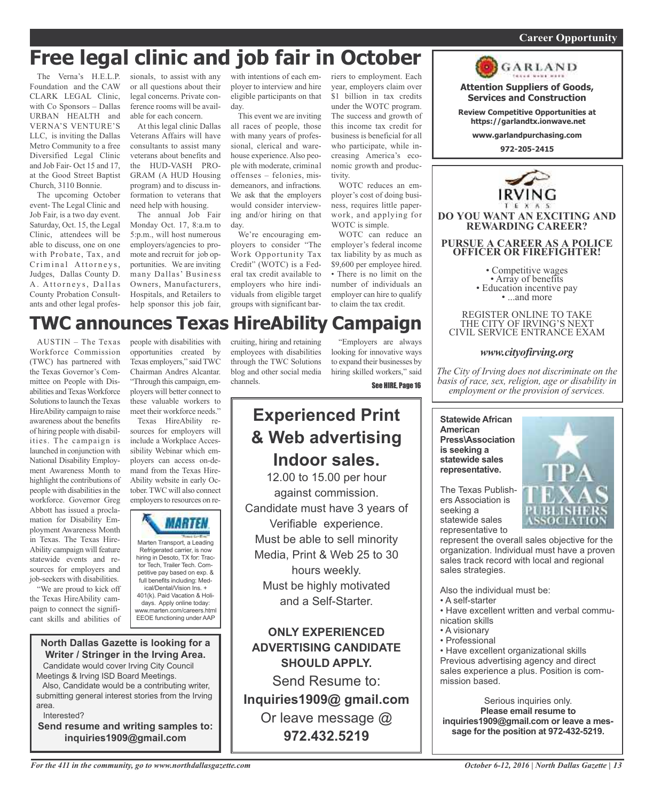#### *On a quest for qualified candidates? Contact Nina Garcia at 972-509-9049* **Career Opportunity**

## **Free legal clinic and job fair in October**

Verna's  $H E I.P$ Foundation and the CAW CLARK LEGAL Clinic, with Co Sponsors – Dallas URBAN HEALTH and VERNA'S VENTURE'S LLC, is inviting the Dallas Metro Community to a free Diversified Legal Clinic and Job Fair- Oct 15 and 17, at the Good Street Baptist Church, 3110 Bonnie.

The upcoming October event- The Legal Clinic and Job Fair, is a two day event. Saturday, Oct. 15, the Legal Clinic, attendees will be able to discuss, one on one with Probate, Tax, and Criminal Attorneys, Judges, Dallas County D. A. Attorneys, Dallas County Probation Consultants and other legal profes-

sionals, to assist with any or all questions about their legal concerns. Private conference rooms will be available for each concern.

At this legal clinic Dallas Veterans Affairs will have consultants to assist many veterans about benefits and the HUD-VASH PRO-GRAM (A HUD Housing program) and to discuss information to veterans that need help with housing.

The annual Job Fair Monday Oct. 17, 8:a.m to 5:p.m., will host numerous employers/agencies to promote and recruit for job opportunities. We are inviting many Dallas' Business Owners, Manufacturers, Hospitals, and Retailers to help sponsor this job fair,

with intentions of each employer to interview and hire eligible participants on that day.

This event we are inviting all races of people, those with many years of professional, clerical and warehouse experience. Also people with moderate, criminal offenses – felonies, misdemeanors, and infractions. We ask that the employers would consider interviewing and/or hiring on that day.

We're encouraging employers to consider "The Work Opportunity Tax Credit" (WOTC) is a Federal tax credit available to employers who hire individuals from eligible target groups with significant bar-

riers to employment. Each year, employers claim over \$1 billion in tax credits under the WOTC program. The success and growth of this income tax credit for business is beneficial for all who participate, while increasing America's economic growth and productivity.

WOTC reduces an employer's cost of doing business, requires little paperwork, and applying for WOTC is simple.

WOTC can reduce an employer's federal income tax liability by as much as \$9,600 per employee hired. • There is no limit on the number of individuals an employer can hire to qualify to claim the tax credit.

**DO YOU WANT AN EXCITING AND REWARDING CAREER?**

**Attention Suppliers of Goods, Services and Construction Review Competitive Opportunities at https://garlandtx.ionwave.net www.garlandpurchasing.com 972-205-2415**

GARLAND

**PURSUE A CAREER AS A POLICE OFFICER OR FIREFIGHTER!**

• Competitive wages<br>• Array of benefits<br>• Education incentive pay<br>• ...and more

REGISTER ONLINE TO TAKE THE CITY OF IRVING'S NEXT CIVIL SERVICE ENTRANCE EXAM

#### *www.cityofirving.org*

*The City of Irving does not discriminate on the basis of race, sex, religion, age or disability in employment or the provision of services.*

**Statewide African American Press\Association is seeking a statewide sales representative.**

The Texas Publishers Association is seeking a statewide sales representative to



represent the overall sales objective for the organization. Individual must have a proven sales track record with local and regional sales strategies.

Also the individual must be:

- A self-starter
- Have excellent written and verbal communication skills
- A visionary
- Professional

• Have excellent organizational skills Previous advertising agency and direct sales experience a plus. Position is commission based.

Serious inquiries only. **Please email resume to inquiries1909@gmail.com or leave a message for the position at 972-432-5219.**

## **TWC announces Texas HireAbility Campaign**

AUSTIN – The Texas Workforce Commission (TWC) has partnered with the Texas Governor's Committee on People with Disabilities and Texas Workforce Solutions to launch the Texas HireAbility campaign to raise awareness about the benefits of hiring people with disabilities. The campaign is launched in conjunction with National Disability Employment Awareness Month to highlight the contributions of people with disabilities in the workforce. Governor Greg Abbott has issued a proclamation for Disability Employment Awareness Month in Texas. The Texas Hire-Ability campaign will feature statewide events and resources for employers and job-seekers with disabilities.

"We are proud to kick off the Texas HireAbility campaign to connect the significant skills and abilities of people with disabilities with opportunities created by Texas employers," saidTWC Chairman Andres Alcantar. "Through this campaign, employers will better connect to these valuable workers to meet their workforce needs."

Texas HireAbility resources for employers will include a Workplace Accessibility Webinar which employers can access on-demand from the Texas Hire-Ability website in early October.TWC will also connect employers to resources on re-



Marten Transport, a Leading Refrigerated carrier, is now hiring in Desoto, TX for: Tractor Tech, Trailer Tech. Competitive pay based on exp. & full benefits including: Medical/Dental/Vision Ins. + 401(k). Paid Vacation & Holidays. Apply online today: www.marten.com/careers.html EEOE functioning under AAP

#### **North Dallas Gazette is looking for a Writer / Stringer in the Irving Area.**

Candidate would cover Irving City Council Meetings & Irving ISD Board Meetings.

Also, Candidate would be a contributing writer, submitting general interest stories from the Irving area.

Interested?

**Send resume and writing samples to: inquiries1909@gmail.com**

cruiting, hiring and retaining employees with disabilities through the TWC Solutions blog and other social media channels.

to expand their businesses by hiring skilled workers," said See HIRE, Page 16

"Employers are always looking for innovative ways

## **Experienced Print & Web advertising Indoor sales.**

12.00 to 15.00 per hour against commission. Candidate must have 3 years of Verifiable experience. Must be able to sell minority Media, Print & Web 25 to 30 hours weekly. Must be highly motivated and a Self-Starter.

**ONLY EXPERIENCED ADVERTISING CANDIDATE SHOULD APPLY.** Send Resume to:

**Inquiries1909@ gmail.com** Or leave message @ **972.432.5219**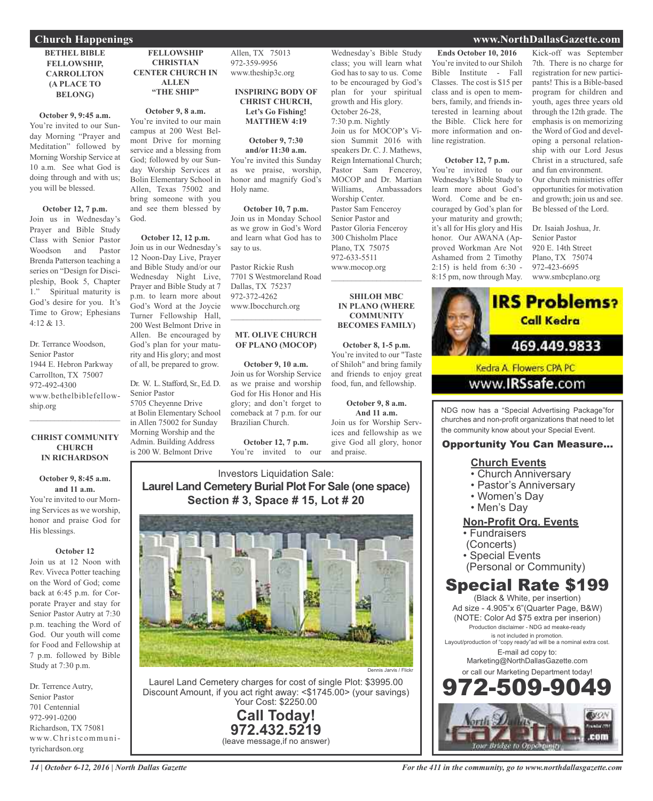#### **BETHEL BIBLE FELLOWSHIP, CARROLLTON (A PLACE TO BELONG)**

#### **October 9, 9:45 a.m.**

You're invited to our Sunday Morning "Prayer and Meditation" followed by Morning Worship Service at 10 a.m. See what God is doing through and with us; you will be blessed.

**October 12, 7 p.m.** Join us in Wednesday's Prayer and Bible Study Class with Senior Pastor Woodson and Pastor Brenda Patterson teaching a series on "Design for Discipleship, Book 5, Chapter 1." Spiritual maturity is God's desire for you. It's Time to Grow; Ephesians 4:12 & 13.

Dr. Terrance Woodson, Senior Pastor 1944 E. Hebron Parkway Carrollton, TX 75007 972-492-4300 www.bethelbiblefellowship.org  $\mathcal{L}=\mathcal{L}^{\mathcal{L}}$  , where  $\mathcal{L}^{\mathcal{L}}$  , we have the set of the set of the set of the set of the set of the set of the set of the set of the set of the set of the set of the set of the set of the set of the set of

#### **CHRIST COMMUNITY CHURCH IN RICHARDSON**

#### **October 9, 8:45 a.m. and 11 a.m.**

You're invited to our Morning Services as we worship, honor and praise God for His blessings.

#### **October 12**

Join us at 12 Noon with Rev. Viveca Potter teaching on the Word of God; come back at 6:45 p.m. for Corporate Prayer and stay for Senior Pastor Autry at 7:30 p.m. teaching the Word of God. Our youth will come for Food and Fellowship at 7 p.m. followed by Bible Study at 7:30 p.m.

Dr. Terrence Autry, Senior Pastor 701 Centennial 972-991-0200 Richardson, TX 75081 www.Christcommunityrichardson.org

**FELLOWSHIP CHRISTIAN CENTER CHURCH IN ALLEN "THE SHIP"**

#### **October 9, 8 a.m.**

You're invited to our main campus at 200 West Belmont Drive for morning service and a blessing from God; followed by our Sunday Worship Services at Bolin Elementary School in Allen, Texas 75002 and bring someone with you and see them blessed by God.

#### **October 12, 12 p.m.**

Join us in our Wednesday's 12 Noon-Day Live, Prayer and Bible Study and/or our Wednesday Night Live, Prayer and Bible Study at 7 p.m. to learn more about God's Word at the Joycie Turner Fellowship Hall, 200 West Belmont Drive in Allen. Be encouraged by God's plan for your maturity and His glory; and most of all, be prepared to grow.

#### Dr. W. L. Stafford, Sr., Ed. D. Senior Pastor

5705 Cheyenne Drive at Bolin Elementary School in Allen 75002 for Sunday Morning Worship and the Admin. Building Address is 200 W. Belmont Drive

Allen, TX 75013 972-359-9956 www.theship3c.org

#### **INSPIRING BODY OF CHRIST CHURCH, Let's Go Fishing! MATTHEW 4:19**

**October 9, 7:30 and/or 11:30 a.m.** You're invited this Sunday as we praise, worship, honor and magnify God's Holy name.

**October 10, 7 p.m.** Join us in Monday School as we grow in God's Word and learn what God has to say to us.

Pastor Rickie Rush 7701 S Westmoreland Road Dallas, TX 75237 972-372-4262 www.Ibocchurch.org  $\overline{\phantom{a}}$  , and the set of the set of the set of the set of the set of the set of the set of the set of the set of the set of the set of the set of the set of the set of the set of the set of the set of the set of the s

#### **MT. OLIVE CHURCH OF PLANO (MOCOP)**

### **October 9, 10 a.m.**

Join us for Worship Service as we praise and worship God for His Honor and His glory; and don't forget to comeback at 7 p.m. for our Brazilian Church.

**October 12, 7 p.m.** You're invited to our

Wednesday's Bible Study class; you will learn what God has to say to us. Come to be encouraged by God's plan for your spiritual growth and His glory. October 26-28, 7:30 p.m. Nightly Join us for MOCOP's Vision Summit 2016 with speakers Dr. C. J. Mathews, Reign International Church; Pastor Sam Fenceroy, MOCOP and Dr. Martian Williams, Ambassadors Worship Center. Pastor Sam Fenceroy

Senior Pastor and Pastor Gloria Fenceroy 300 Chisholm Place Plano, TX 75075 972-633-5511 www.mocop.org  $\mathcal{L}$  , and the set of the set of the set of the set of the set of the set of the set of the set of the set of the set of the set of the set of the set of the set of the set of the set of the set of the set of the set

#### **SHILOH MBC IN PLANO (WHERE COMMUNITY BECOMES FAMILY)**

**October 8, 1-5 p.m.** You're invited to our "Taste of Shiloh" and bring family and friends to enjoy great food, fun, and fellowship.

**October 9, 8 a.m. And 11 a.m.** Join us for Worship Services and fellowship as we give God all glory, honor and praise.

#### Investors Liquidation Sale: **Laurel Land Cemetery Burial Plot For Sale (one space) Section # 3, Space # 15, Lot # 20**



Laurel Land Cemetery charges for cost of single Plot: \$3995.00 Discount Amount, if you act right away: <\$1745.00> (your savings) Your Cost: \$2250.00

> **Call Today! 972.432.5219** (leave message,if no answer)

#### You're invited to our Shiloh Bible Institute - Fall Classes. The cost is \$15 per class and is open to members, family, and friends interested in learning about the Bible. Click here for more information and on-

**Ends October 10, 2016**

#### **October 12, 7 p.m.**

line registration.

You're invited to our Wednesday's Bible Study to learn more about God's Word. Come and be encouraged by God's plan for your maturity and growth; it's all for His glory and His honor. Our AWANA (Approved Workman Are Not Ashamed from 2 Timothy 2:15) is held from 6:30 - 8:15 pm, now through May.

Kick-off was September 7th. There is no charge for registration for new participants! This is a Bible-based program for children and youth, ages three years old through the 12th grade. The emphasis is on memorizing the Word of God and developing a personal relationship with our Lord Jesus Christ in a structured, safe and fun environment. Our church ministries offer opportunities for motivation and growth; join us and see. Be blessed of the Lord.

Dr. Isaiah Joshua, Jr. Senior Pastor 920 E. 14th Street Plano, TX 75074 972-423-6695 www.smbcplano.org



### www.**IRSsafe**.com

NDG now has a "Special Advertising Package"for churches and non-profit organizations that need to let the community know about your Special Event.

### Opportunity You Can Measure...

### **Church Events**

- Church Anniversary
- Pastor's Anniversary
- Women's Day
- Men's Day

### **Non-Profit Org. Events**

- Fundraisers
- (Concerts)
- Special Events
- (Personal or Community)

## Special Rate \$199

(Black & White, per insertion) Ad size - 4.905"x 6"(Quarter Page, B&W) (NOTE: Color Ad \$75 extra per inserion) Production disclaimer - NDG ad meake-ready is not included in promotion. Layout/production of "copy ready"ad will be a nominal extra cost. E-mail ad copy to: Marketing@NorthDallasGazette.com or call our Marketing Department today! 972-509-9049



#### **Church Happenings www.NorthDallasGazette.com**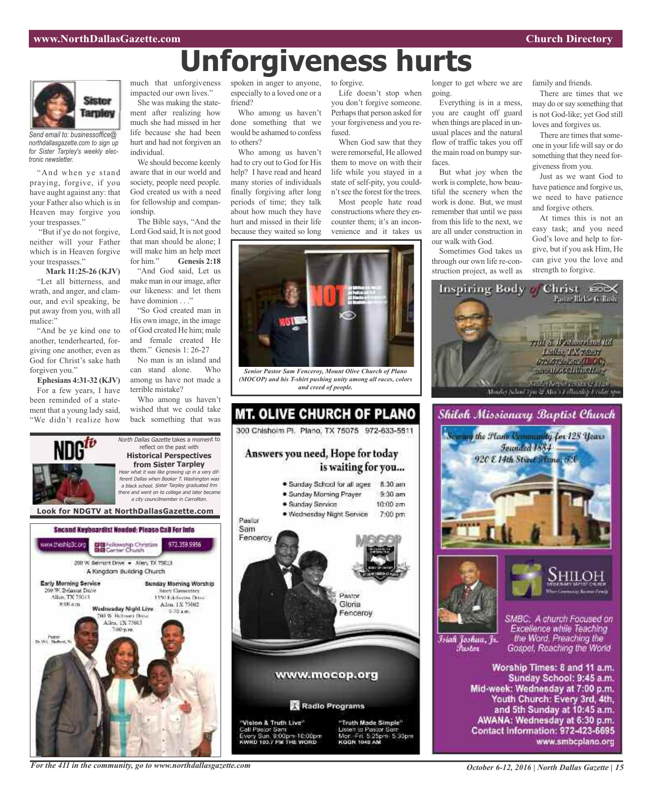

*Send email to: businessoffice@ northdallasgazette.com to sign up for Sister Tarpley's weekly electronic newsletter.*

"And when ye stand praying, forgive, if you have aught against any: that your Father also which is in Heaven may forgive you your trespasses."

"But if ye do not forgive, neither will your Father which is in Heaven forgive your trespasses."

**Mark 11:25-26 (KJV)** "Let all bitterness, and wrath, and anger, and clamour, and evil speaking, be put away from you, with all

malice:' "And be ye kind one to another, tenderhearted, forgiving one another, even as God for Christ's sake hath forgiven you."

#### **Ephesians 4:31-32 (KJV)**

For a few years, I have been reminded of a statement that a young lady said, "We didn't realize how much that unforgiveness impacted our own lives." She was making the state-

ment after realizing how much she had missed in her life because she had been hurt and had not forgiven an individual.

We should become keenly aware that in our world and society, people need people. God created us with a need for fellowship and companionship.

The Bible says, "And the Lord God said, It is not good that man should be alone; I will make him an help meet for him." **Genesis 2:18**

"And God said, Let us make man in our image, after our likeness: and let them have dominion . . . '

"So God created man in His own image, in the image of God created He him; male and female created He them." Genesis 1: 26-27

No man is an island and can stand alone. Who among us have not made a terrible mistake?

Who among us haven't wished that we could take back something that was

North Dallas Gazette takes a moment to reflect on the past with **Historical Perspectives from Sister Tarpley**

spoken in anger to anyone, especially to a loved one or a friend?

Who among us haven't done something that we would be ashamed to confess to others?

Who among us haven't had to cry out to God for His help? I have read and heard many stories of individuals finally forgiving after long periods of time; they talk about how much they have hurt and missed in their life because they waited so long

*Senior Pastor Sam Fenceroy, Mount Olive Church of Plano (MOCOP) and his T-shirt pushing unity among all races, colors and creed of people.*



#### www.mocop.org

Radio Programs

Mort. ۰Fri

KGGH 1040

"Truth Made Simple"

5:25pm 5:30pm

Jelen to Pastor San

"Vision & Truth Live" Call Pastor Sam ry Sun. 9:00pm-10:00pm<br>RD 103.7 FM THE WORD

to forgive.

**Unforgiveness hurts**

Life doesn't stop when you don't forgive someone. Perhaps that person asked for your forgiveness and you refused.

When God saw that they were remorseful, He allowed them to move on with their life while you stayed in a state of self-pity, you couldn'tsee the forest for the trees. Most people hate road

constructions where they encounter them; it's an inconvenience and it takes us

longer to get where we are going.

Everything is in a mess, you are caught off guard when things are placed in unusual places and the natural flow of traffic takes you off the main road on bumpy surfaces.

But what joy when the work is complete, how beautiful the scenery when the work is done. But, we must remember that until we pass from this life to the next, we are all under construction in our walk with God.

Sometimes God takes us through our own life re-construction project, as well as family and friends.

There are times that we may do orsay something that is not God-like; yet God still loves and forgives us.

There are times that someone in your life willsay or do something that they need forgiveness from you.

Just as we want God to have patience and forgive us, we need to have patience and forgive others.

At times this is not an easy task; and you need God's love and help to forgive, but if you ask Him, He can give you the love and strength to forgive.









Islah Joshua, Jr. Fustor

SMBC: A church Focused on Excellence while Teaching the Word. Preaching the Gospel, Reaching the World

Worship Times: 8 and 11 a.m. Sunday School: 9:45 a.m. Mid-week: Wednesday at 7:00 p.m. Youth Church: Every 3rd, 4th, and 5th Sunday at 10:45 a.m. AWANA: Wednesday at 6:30 p.m. Contact Information: 972-423-6695 www.smbcplano.org



*For the 411 in the community, go to www.northdallasgazette.com*

*October 6-12, 2016 | North Dallas Gazette | 15*